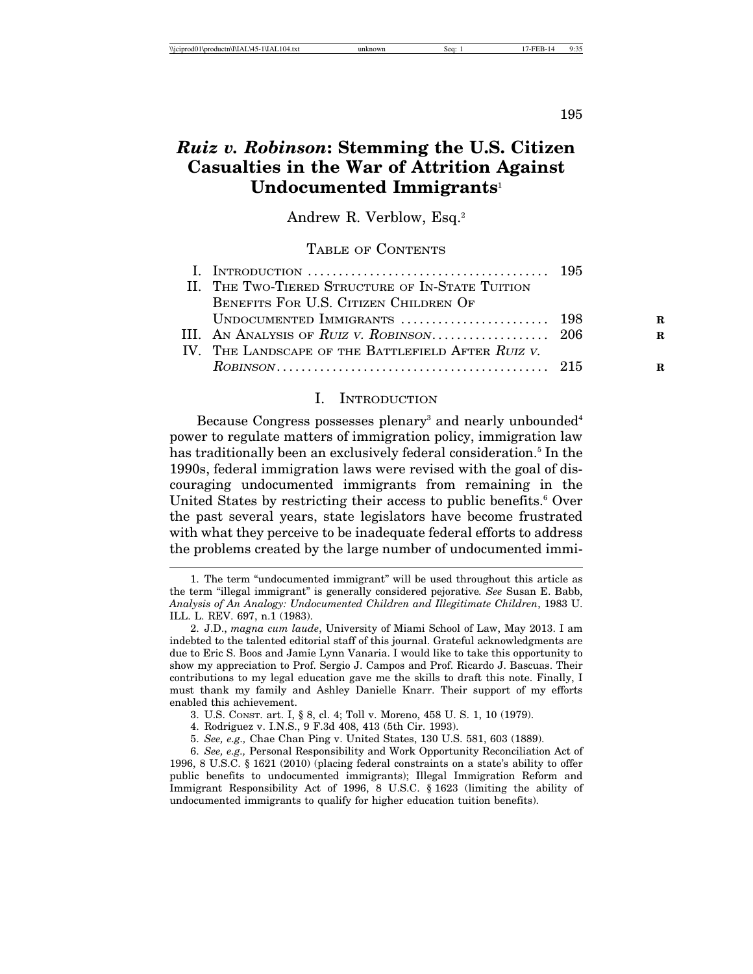# *Ruiz v. Robinson***: Stemming the U.S. Citizen Casualties in the War of Attrition Against Undocumented Immigrants**<sup>1</sup>

Andrew R. Verblow, Esq.2

# TABLE OF CONTENTS

| I. INTRODUCTION $\ldots \ldots \ldots \ldots \ldots \ldots \ldots \ldots \ldots \ldots \ldots \ldots \ldots$ 195 |   |
|------------------------------------------------------------------------------------------------------------------|---|
| II. THE TWO-TIERED STRUCTURE OF IN-STATE TUITION                                                                 |   |
| BENEFITS FOR U.S. CITIZEN CHILDREN OF                                                                            |   |
|                                                                                                                  | R |
|                                                                                                                  | R |
| IV. THE LANDSCAPE OF THE BATTLEFIELD AFTER RUIZ V.                                                               |   |
|                                                                                                                  | R |

### I. INTRODUCTION

Because Congress possesses plenary<sup>3</sup> and nearly unbounded<sup>4</sup> power to regulate matters of immigration policy, immigration law has traditionally been an exclusively federal consideration.<sup>5</sup> In the 1990s, federal immigration laws were revised with the goal of discouraging undocumented immigrants from remaining in the United States by restricting their access to public benefits.<sup>6</sup> Over the past several years, state legislators have become frustrated with what they perceive to be inadequate federal efforts to address the problems created by the large number of undocumented immi-

<sup>1.</sup> The term "undocumented immigrant" will be used throughout this article as the term "illegal immigrant" is generally considered pejorative*. See* Susan E. Babb, *Analysis of An Analogy: Undocumented Children and Illegitimate Children*, 1983 U. ILL. L. REV. 697, n.1 (1983).

<sup>2.</sup> J.D., *magna cum laude*, University of Miami School of Law, May 2013. I am indebted to the talented editorial staff of this journal. Grateful acknowledgments are due to Eric S. Boos and Jamie Lynn Vanaria. I would like to take this opportunity to show my appreciation to Prof. Sergio J. Campos and Prof. Ricardo J. Bascuas. Their contributions to my legal education gave me the skills to draft this note. Finally, I must thank my family and Ashley Danielle Knarr. Their support of my efforts enabled this achievement.

<sup>3.</sup> U.S. CONST. art. I, § 8, cl. 4; Toll v. Moreno, 458 U. S. 1, 10 (1979).

<sup>4.</sup> Rodriguez v. I.N.S., 9 F.3d 408, 413 (5th Cir. 1993).

<sup>5.</sup> *See, e.g.,* Chae Chan Ping v. United States, 130 U.S. 581, 603 (1889).

<sup>6.</sup> *See, e.g.,* Personal Responsibility and Work Opportunity Reconciliation Act of 1996, 8 U.S.C. § 1621 (2010) (placing federal constraints on a state's ability to offer public benefits to undocumented immigrants); Illegal Immigration Reform and Immigrant Responsibility Act of 1996, 8 U.S.C. § 1623 (limiting the ability of undocumented immigrants to qualify for higher education tuition benefits).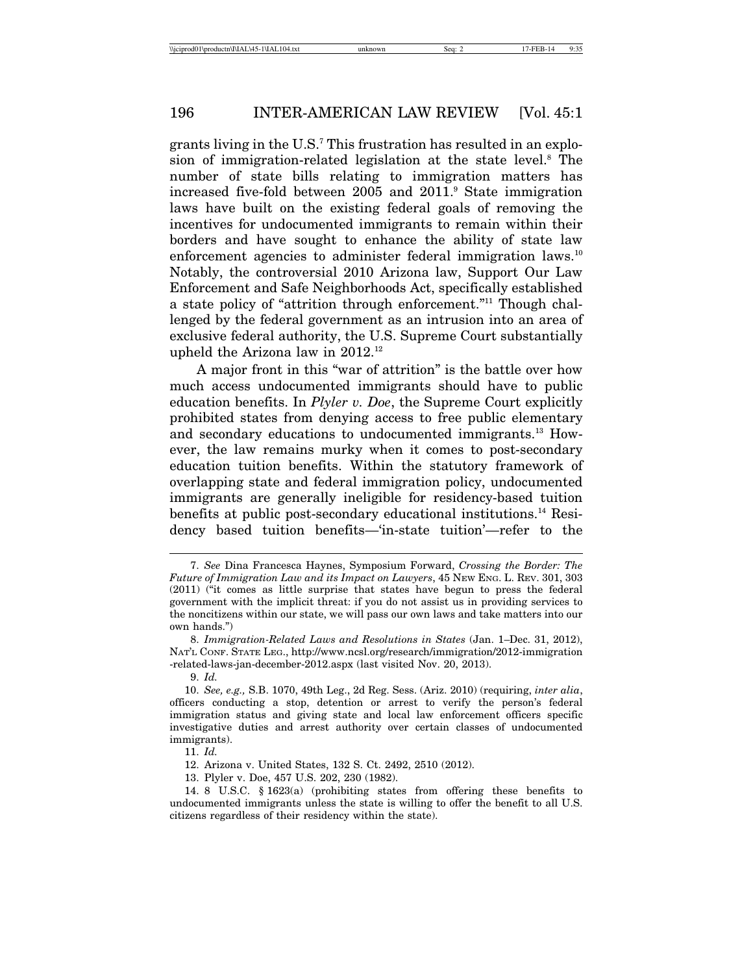grants living in the U.S.<sup>7</sup> This frustration has resulted in an explosion of immigration-related legislation at the state level.<sup>8</sup> The number of state bills relating to immigration matters has increased five-fold between 2005 and 2011.9 State immigration laws have built on the existing federal goals of removing the incentives for undocumented immigrants to remain within their borders and have sought to enhance the ability of state law enforcement agencies to administer federal immigration laws.<sup>10</sup> Notably, the controversial 2010 Arizona law, Support Our Law Enforcement and Safe Neighborhoods Act, specifically established a state policy of "attrition through enforcement."11 Though challenged by the federal government as an intrusion into an area of exclusive federal authority, the U.S. Supreme Court substantially upheld the Arizona law in 2012.12

A major front in this "war of attrition" is the battle over how much access undocumented immigrants should have to public education benefits. In *Plyler v. Doe*, the Supreme Court explicitly prohibited states from denying access to free public elementary and secondary educations to undocumented immigrants.13 However, the law remains murky when it comes to post-secondary education tuition benefits. Within the statutory framework of overlapping state and federal immigration policy, undocumented immigrants are generally ineligible for residency-based tuition benefits at public post-secondary educational institutions.14 Residency based tuition benefits—'in-state tuition'—refer to the

9. *Id.*

11. *Id.*

13. Plyler v. Doe, 457 U.S. 202, 230 (1982).

<sup>7.</sup> *See* Dina Francesca Haynes, Symposium Forward, *Crossing the Border: The Future of Immigration Law and its Impact on Lawyers*, 45 NEW ENG. L. REV. 301, 303 (2011) ("it comes as little surprise that states have begun to press the federal government with the implicit threat: if you do not assist us in providing services to the noncitizens within our state, we will pass our own laws and take matters into our own hands.")

<sup>8.</sup> *Immigration-Related Laws and Resolutions in States* (Jan. 1–Dec. 31, 2012), NAT'L CONF. STATE LEG., http://www.ncsl.org/research/immigration/2012-immigration -related-laws-jan-december-2012.aspx (last visited Nov. 20, 2013).

<sup>10.</sup> *See, e.g.,* S.B. 1070, 49th Leg., 2d Reg. Sess. (Ariz. 2010) (requiring, *inter alia*, officers conducting a stop, detention or arrest to verify the person's federal immigration status and giving state and local law enforcement officers specific investigative duties and arrest authority over certain classes of undocumented immigrants).

<sup>12.</sup> Arizona v. United States, 132 S. Ct. 2492, 2510 (2012).

<sup>14. 8</sup> U.S.C. § 1623(a) (prohibiting states from offering these benefits to undocumented immigrants unless the state is willing to offer the benefit to all U.S. citizens regardless of their residency within the state).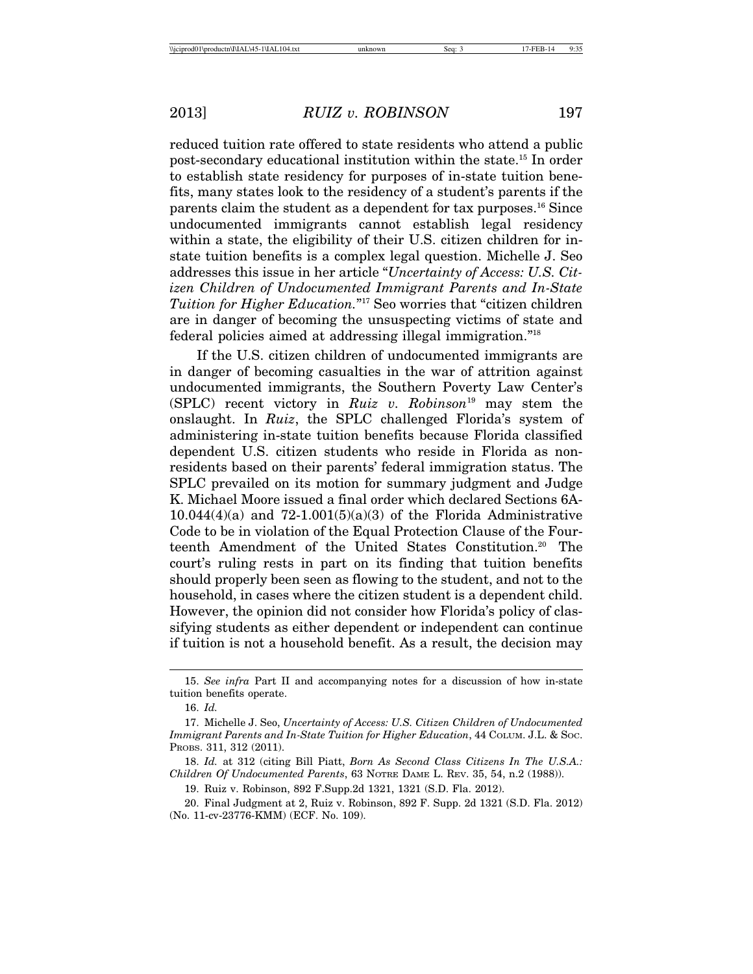reduced tuition rate offered to state residents who attend a public post-secondary educational institution within the state.15 In order to establish state residency for purposes of in-state tuition benefits, many states look to the residency of a student's parents if the parents claim the student as a dependent for tax purposes.16 Since undocumented immigrants cannot establish legal residency within a state, the eligibility of their U.S. citizen children for instate tuition benefits is a complex legal question. Michelle J. Seo addresses this issue in her article "*Uncertainty of Access: U.S. Citizen Children of Undocumented Immigrant Parents and In-State Tuition for Higher Education.*"17 Seo worries that "citizen children are in danger of becoming the unsuspecting victims of state and federal policies aimed at addressing illegal immigration."18

If the U.S. citizen children of undocumented immigrants are in danger of becoming casualties in the war of attrition against undocumented immigrants, the Southern Poverty Law Center's (SPLC) recent victory in *Ruiz v. Robinson*19 may stem the onslaught. In *Ruiz*, the SPLC challenged Florida's system of administering in-state tuition benefits because Florida classified dependent U.S. citizen students who reside in Florida as nonresidents based on their parents' federal immigration status. The SPLC prevailed on its motion for summary judgment and Judge K. Michael Moore issued a final order which declared Sections 6A- $10.044(4)(a)$  and  $72-1.001(5)(a)(3)$  of the Florida Administrative Code to be in violation of the Equal Protection Clause of the Fourteenth Amendment of the United States Constitution.20 The court's ruling rests in part on its finding that tuition benefits should properly been seen as flowing to the student, and not to the household, in cases where the citizen student is a dependent child. However, the opinion did not consider how Florida's policy of classifying students as either dependent or independent can continue if tuition is not a household benefit. As a result, the decision may

<sup>15.</sup> *See infra* Part II and accompanying notes for a discussion of how in-state tuition benefits operate.

<sup>16.</sup> *Id.*

<sup>17.</sup> Michelle J. Seo, *Uncertainty of Access: U.S. Citizen Children of Undocumented Immigrant Parents and In-State Tuition for Higher Education*, 44 COLUM. J.L. & SOC. PROBS. 311, 312 (2011).

<sup>18.</sup> *Id.* at 312 (citing Bill Piatt, *Born As Second Class Citizens In The U.S.A.: Children Of Undocumented Parents*, 63 NOTRE DAME L. REV. 35, 54, n.2 (1988)).

<sup>19.</sup> Ruiz v. Robinson, 892 F.Supp.2d 1321, 1321 (S.D. Fla. 2012).

<sup>20.</sup> Final Judgment at 2, Ruiz v. Robinson, 892 F. Supp. 2d 1321 (S.D. Fla. 2012) (No. 11-cv-23776-KMM) (ECF. No. 109).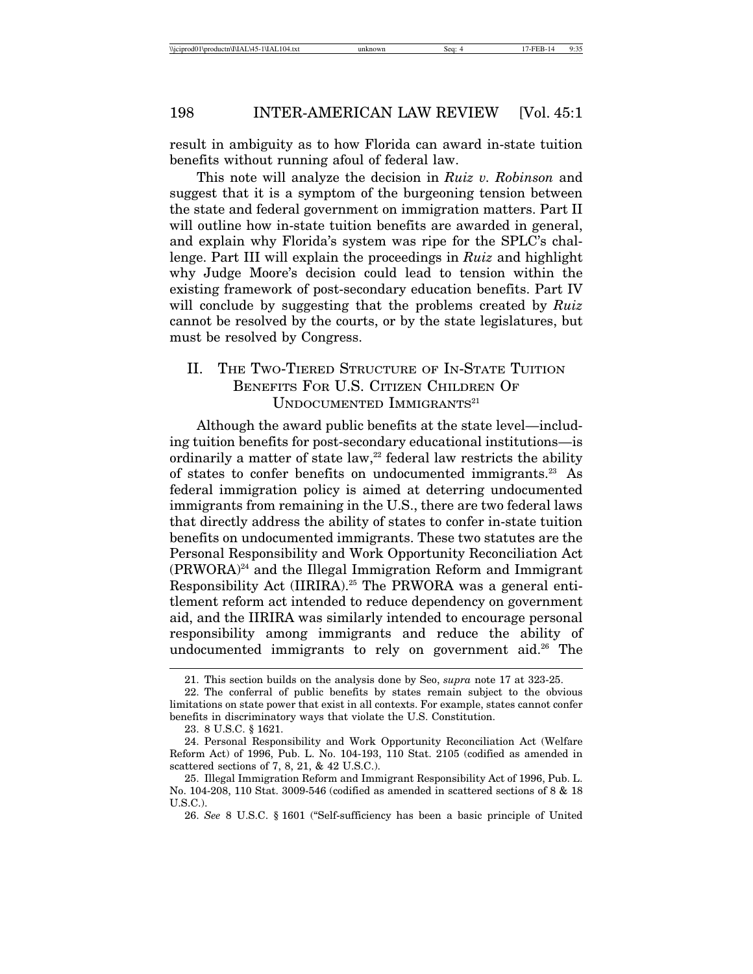result in ambiguity as to how Florida can award in-state tuition benefits without running afoul of federal law.

This note will analyze the decision in *Ruiz v. Robinson* and suggest that it is a symptom of the burgeoning tension between the state and federal government on immigration matters. Part II will outline how in-state tuition benefits are awarded in general, and explain why Florida's system was ripe for the SPLC's challenge. Part III will explain the proceedings in *Ruiz* and highlight why Judge Moore's decision could lead to tension within the existing framework of post-secondary education benefits. Part IV will conclude by suggesting that the problems created by *Ruiz* cannot be resolved by the courts, or by the state legislatures, but must be resolved by Congress.

# II. THE TWO-TIERED STRUCTURE OF IN-STATE TUITION BENEFITS FOR U.S. CITIZEN CHILDREN OF UNDOCUMENTED IMMIGRANTS<sup>21</sup>

Although the award public benefits at the state level—including tuition benefits for post-secondary educational institutions—is ordinarily a matter of state law, $22$  federal law restricts the ability of states to confer benefits on undocumented immigrants.23 As federal immigration policy is aimed at deterring undocumented immigrants from remaining in the U.S., there are two federal laws that directly address the ability of states to confer in-state tuition benefits on undocumented immigrants. These two statutes are the Personal Responsibility and Work Opportunity Reconciliation Act (PRWORA)24 and the Illegal Immigration Reform and Immigrant Responsibility Act (IIRIRA).<sup>25</sup> The PRWORA was a general entitlement reform act intended to reduce dependency on government aid, and the IIRIRA was similarly intended to encourage personal responsibility among immigrants and reduce the ability of undocumented immigrants to rely on government aid.<sup>26</sup> The

<sup>21.</sup> This section builds on the analysis done by Seo, *supra* note 17 at 323-25.

<sup>22.</sup> The conferral of public benefits by states remain subject to the obvious limitations on state power that exist in all contexts. For example, states cannot confer benefits in discriminatory ways that violate the U.S. Constitution.

<sup>23. 8</sup> U.S.C. § 1621.

<sup>24.</sup> Personal Responsibility and Work Opportunity Reconciliation Act (Welfare Reform Act) of 1996, Pub. L. No. 104-193, 110 Stat. 2105 (codified as amended in scattered sections of 7, 8, 21, & 42 U.S.C.).

<sup>25.</sup> Illegal Immigration Reform and Immigrant Responsibility Act of 1996, Pub. L. No. 104-208, 110 Stat. 3009-546 (codified as amended in scattered sections of 8 & 18 U.S.C.).

<sup>26.</sup> *See* 8 U.S.C. § 1601 ("Self-sufficiency has been a basic principle of United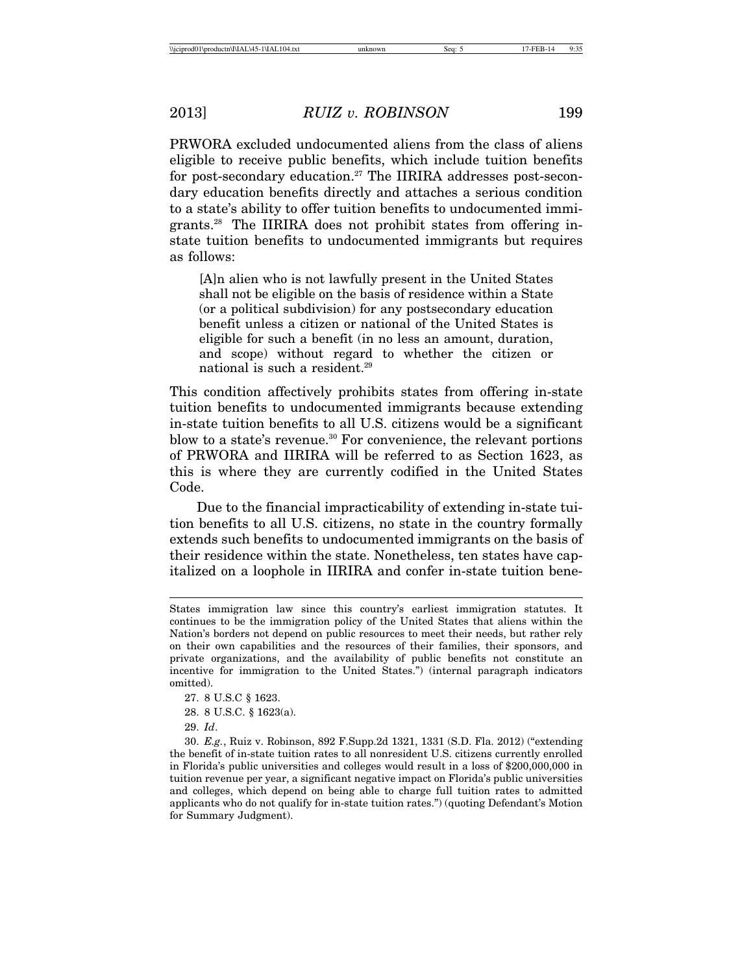PRWORA excluded undocumented aliens from the class of aliens eligible to receive public benefits, which include tuition benefits for post-secondary education.27 The IIRIRA addresses post-secondary education benefits directly and attaches a serious condition to a state's ability to offer tuition benefits to undocumented immigrants.28 The IIRIRA does not prohibit states from offering instate tuition benefits to undocumented immigrants but requires as follows:

[A]n alien who is not lawfully present in the United States shall not be eligible on the basis of residence within a State (or a political subdivision) for any postsecondary education benefit unless a citizen or national of the United States is eligible for such a benefit (in no less an amount, duration, and scope) without regard to whether the citizen or national is such a resident.<sup>29</sup>

This condition affectively prohibits states from offering in-state tuition benefits to undocumented immigrants because extending in-state tuition benefits to all U.S. citizens would be a significant blow to a state's revenue.<sup>30</sup> For convenience, the relevant portions of PRWORA and IIRIRA will be referred to as Section 1623, as this is where they are currently codified in the United States Code.

Due to the financial impracticability of extending in-state tuition benefits to all U.S. citizens, no state in the country formally extends such benefits to undocumented immigrants on the basis of their residence within the state. Nonetheless, ten states have capitalized on a loophole in IIRIRA and confer in-state tuition bene-

30. *E.g.*, Ruiz v. Robinson, 892 F.Supp.2d 1321, 1331 (S.D. Fla. 2012) ("extending the benefit of in-state tuition rates to all nonresident U.S. citizens currently enrolled in Florida's public universities and colleges would result in a loss of \$200,000,000 in tuition revenue per year, a significant negative impact on Florida's public universities and colleges, which depend on being able to charge full tuition rates to admitted applicants who do not qualify for in-state tuition rates.") (quoting Defendant's Motion for Summary Judgment).

States immigration law since this country's earliest immigration statutes. It continues to be the immigration policy of the United States that aliens within the Nation's borders not depend on public resources to meet their needs, but rather rely on their own capabilities and the resources of their families, their sponsors, and private organizations, and the availability of public benefits not constitute an incentive for immigration to the United States.") (internal paragraph indicators omitted).

<sup>27. 8</sup> U.S.C § 1623.

<sup>28. 8</sup> U.S.C. § 1623(a).

<sup>29.</sup> *Id*.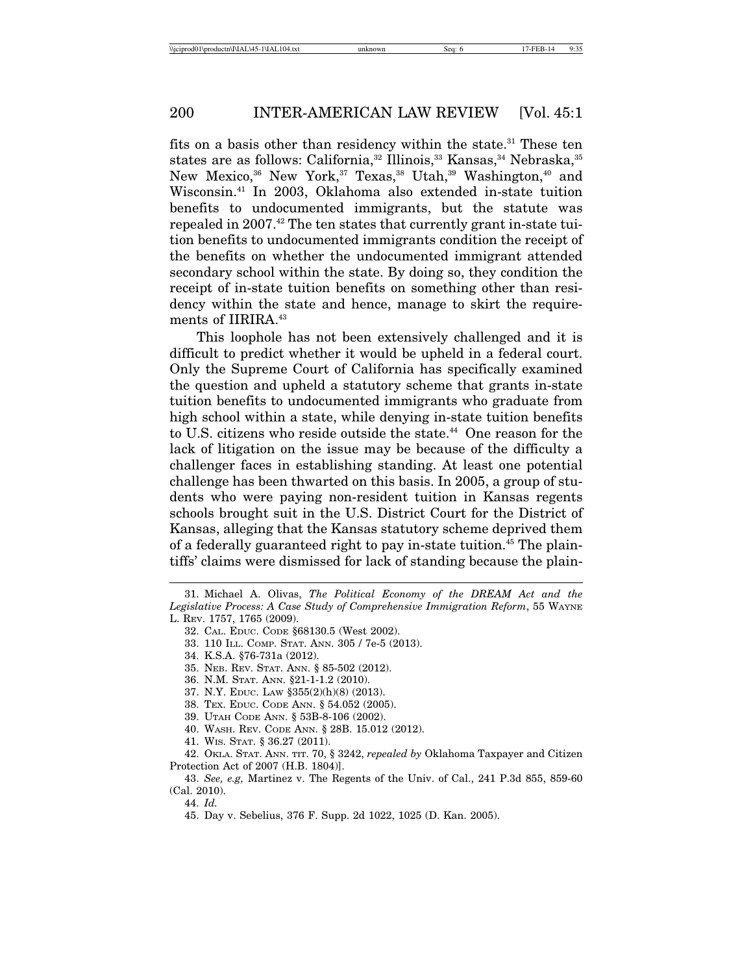fits on a basis other than residency within the state.<sup>31</sup> These ten states are as follows: California,<sup>32</sup> Illinois,<sup>33</sup> Kansas,<sup>34</sup> Nebraska,<sup>35</sup> New Mexico,<sup>36</sup> New York,<sup>37</sup> Texas,<sup>38</sup> Utah,<sup>39</sup> Washington,<sup>40</sup> and Wisconsin.41 In 2003, Oklahoma also extended in-state tuition benefits to undocumented immigrants, but the statute was repealed in 2007.<sup>42</sup> The ten states that currently grant in-state tuition benefits to undocumented immigrants condition the receipt of the benefits on whether the undocumented immigrant attended secondary school within the state. By doing so, they condition the receipt of in-state tuition benefits on something other than residency within the state and hence, manage to skirt the requirements of IIRIRA.<sup>43</sup>

This loophole has not been extensively challenged and it is difficult to predict whether it would be upheld in a federal court. Only the Supreme Court of California has specifically examined the question and upheld a statutory scheme that grants in-state tuition benefits to undocumented immigrants who graduate from high school within a state, while denying in-state tuition benefits to U.S. citizens who reside outside the state.<sup>44</sup> One reason for the lack of litigation on the issue may be because of the difficulty a challenger faces in establishing standing. At least one potential challenge has been thwarted on this basis. In 2005, a group of students who were paying non-resident tuition in Kansas regents schools brought suit in the U.S. District Court for the District of Kansas, alleging that the Kansas statutory scheme deprived them of a federally guaranteed right to pay in-state tuition.45 The plaintiffs' claims were dismissed for lack of standing because the plain-

- 32. CAL. EDUC. CODE §68130.5 (West 2002).
- 33. 110 ILL. COMP. STAT. ANN. 305 / 7e-5 (2013).

- 35. NEB. REV. STAT. ANN. § 85-502 (2012).
- 36. N.M. STAT. ANN. §21-1-1.2 (2010).
- 37. N.Y. EDUC. LAW §355(2)(h)(8) (2013).
- 38. TEX. EDUC. CODE ANN. § 54.052 (2005).
- 39. UTAH CODE ANN. § 53B-8-106 (2002).
- 40. WASH. REV. CODE ANN. § 28B. 15.012 (2012).
- 41. WIS. STAT. § 36.27 (2011).

42. OKLA. STAT. ANN. TIT. 70, § 3242, *repealed by* Oklahoma Taxpayer and Citizen Protection Act of 2007 (H.B. 1804)].

43. *See, e.g,* Martinez v. The Regents of the Univ. of Cal., 241 P.3d 855, 859-60 (Cal. 2010).

44. *Id.*

45. Day v. Sebelius, 376 F. Supp. 2d 1022, 1025 (D. Kan. 2005).

<sup>31.</sup> Michael A. Olivas, *The Political Economy of the DREAM Act and the Legislative Process: A Case Study of Comprehensive Immigration Reform*, 55 WAYNE

L. REV. 1757, 1765 (2009).

<sup>34.</sup> K.S.A. §76-731a (2012).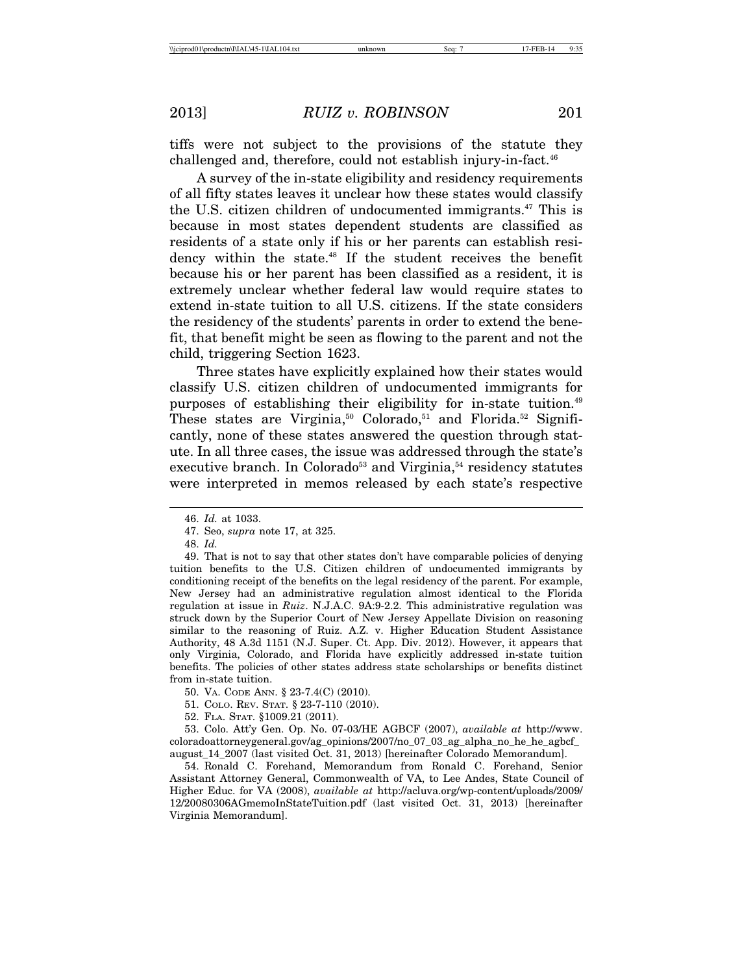tiffs were not subject to the provisions of the statute they challenged and, therefore, could not establish injury-in-fact.<sup>46</sup>

A survey of the in-state eligibility and residency requirements of all fifty states leaves it unclear how these states would classify the U.S. citizen children of undocumented immigrants.<sup>47</sup> This is because in most states dependent students are classified as residents of a state only if his or her parents can establish residency within the state.48 If the student receives the benefit because his or her parent has been classified as a resident, it is extremely unclear whether federal law would require states to extend in-state tuition to all U.S. citizens. If the state considers the residency of the students' parents in order to extend the benefit, that benefit might be seen as flowing to the parent and not the child, triggering Section 1623.

Three states have explicitly explained how their states would classify U.S. citizen children of undocumented immigrants for purposes of establishing their eligibility for in-state tuition.<sup>49</sup> These states are Virginia,<sup>50</sup> Colorado,<sup>51</sup> and Florida.<sup>52</sup> Significantly, none of these states answered the question through statute. In all three cases, the issue was addressed through the state's executive branch. In Colorado<sup>53</sup> and Virginia,<sup>54</sup> residency statutes were interpreted in memos released by each state's respective

54. Ronald C. Forehand, Memorandum from Ronald C. Forehand, Senior Assistant Attorney General, Commonwealth of VA, to Lee Andes, State Council of Higher Educ. for VA (2008), *available at* http://acluva.org/wp-content/uploads/2009/ 12/20080306AGmemoInStateTuition.pdf (last visited Oct. 31, 2013) [hereinafter Virginia Memorandum].

<sup>46.</sup> *Id.* at 1033.

<sup>47.</sup> Seo, *supra* note 17, at 325.

<sup>48.</sup> *Id.*

<sup>49.</sup> That is not to say that other states don't have comparable policies of denying tuition benefits to the U.S. Citizen children of undocumented immigrants by conditioning receipt of the benefits on the legal residency of the parent. For example, New Jersey had an administrative regulation almost identical to the Florida regulation at issue in *Ruiz*. N.J.A.C. 9A:9-2.2. This administrative regulation was struck down by the Superior Court of New Jersey Appellate Division on reasoning similar to the reasoning of Ruiz. A.Z. v. Higher Education Student Assistance Authority, 48 A.3d 1151 (N.J. Super. Ct. App. Div. 2012). However, it appears that only Virginia, Colorado, and Florida have explicitly addressed in-state tuition benefits. The policies of other states address state scholarships or benefits distinct from in-state tuition.

<sup>50.</sup> VA. CODE ANN. § 23-7.4(C) (2010).

<sup>51.</sup> COLO. REV. STAT. § 23-7-110 (2010).

<sup>52.</sup> FLA. STAT. §1009.21 (2011).

<sup>53.</sup> Colo. Att'y Gen. Op. No. 07-03/HE AGBCF (2007), *available at* http://www. coloradoattorneygeneral.gov/ag\_opinions/2007/no\_07\_03\_ag\_alpha\_no\_he\_he\_agbcf\_ august\_14\_2007 (last visited Oct. 31, 2013) [hereinafter Colorado Memorandum].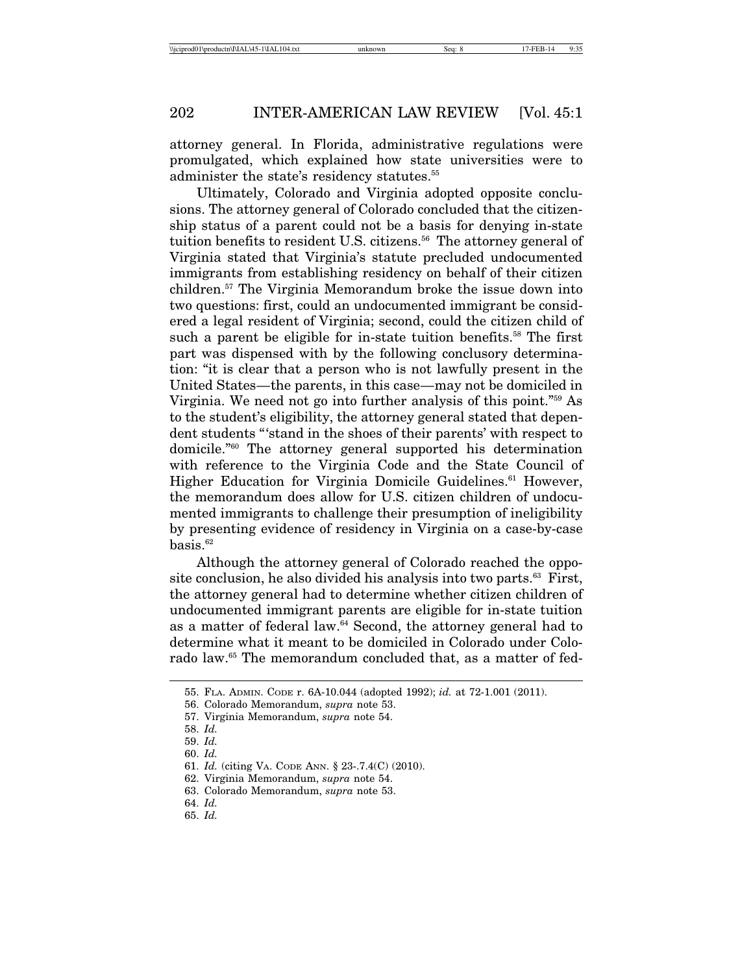attorney general. In Florida, administrative regulations were promulgated, which explained how state universities were to administer the state's residency statutes.<sup>55</sup>

Ultimately, Colorado and Virginia adopted opposite conclusions. The attorney general of Colorado concluded that the citizenship status of a parent could not be a basis for denying in-state tuition benefits to resident U.S. citizens.<sup>56</sup> The attorney general of Virginia stated that Virginia's statute precluded undocumented immigrants from establishing residency on behalf of their citizen children.57 The Virginia Memorandum broke the issue down into two questions: first, could an undocumented immigrant be considered a legal resident of Virginia; second, could the citizen child of such a parent be eligible for in-state tuition benefits.<sup>58</sup> The first part was dispensed with by the following conclusory determination: "it is clear that a person who is not lawfully present in the United States—the parents, in this case—may not be domiciled in Virginia. We need not go into further analysis of this point."59 As to the student's eligibility, the attorney general stated that dependent students "'stand in the shoes of their parents' with respect to domicile."60 The attorney general supported his determination with reference to the Virginia Code and the State Council of Higher Education for Virginia Domicile Guidelines.<sup>61</sup> However, the memorandum does allow for U.S. citizen children of undocumented immigrants to challenge their presumption of ineligibility by presenting evidence of residency in Virginia on a case-by-case  $basis.<sup>62</sup>$ 

Although the attorney general of Colorado reached the opposite conclusion, he also divided his analysis into two parts.63 First, the attorney general had to determine whether citizen children of undocumented immigrant parents are eligible for in-state tuition as a matter of federal law.64 Second, the attorney general had to determine what it meant to be domiciled in Colorado under Colorado law.<sup>65</sup> The memorandum concluded that, as a matter of fed-

<sup>55.</sup> FLA. ADMIN. CODE r. 6A-10.044 (adopted 1992); *id.* at 72-1.001 (2011).

<sup>56.</sup> Colorado Memorandum, *supra* note 53.

<sup>57.</sup> Virginia Memorandum, *supra* note 54.

<sup>58.</sup> *Id.*

<sup>59.</sup> *Id.*

<sup>60.</sup> *Id.*

<sup>61.</sup> *Id.* (citing VA. CODE ANN. § 23-.7.4(C) (2010).

<sup>62.</sup> Virginia Memorandum, *supra* note 54.

<sup>63.</sup> Colorado Memorandum, *supra* note 53.

<sup>64.</sup> *Id.*

<sup>65.</sup> *Id.*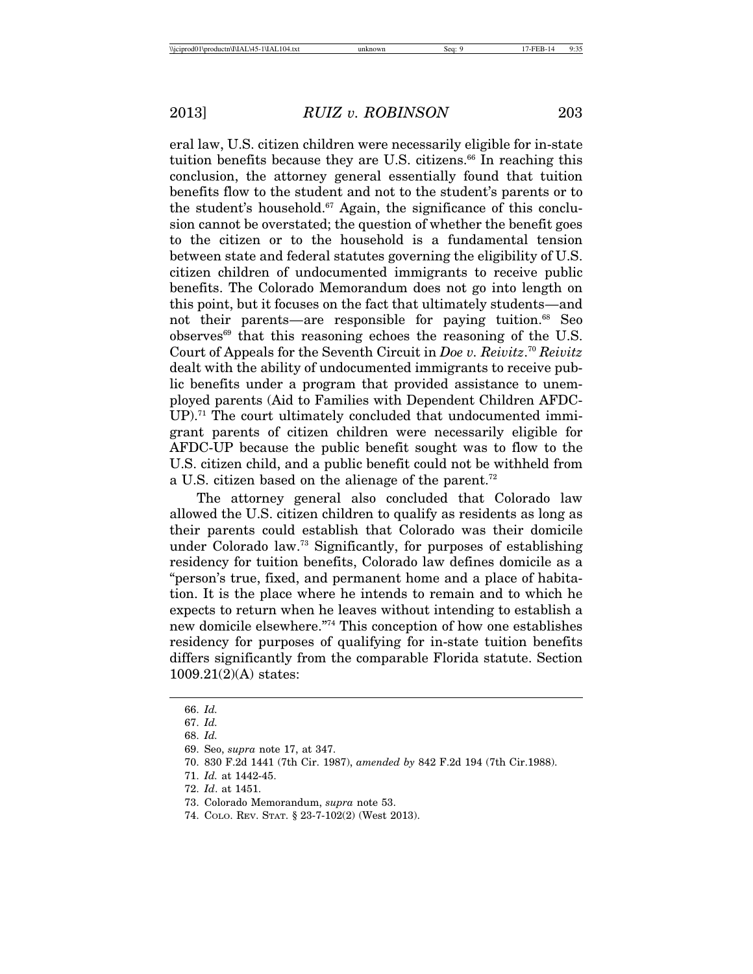eral law, U.S. citizen children were necessarily eligible for in-state tuition benefits because they are U.S. citizens.<sup>66</sup> In reaching this conclusion, the attorney general essentially found that tuition benefits flow to the student and not to the student's parents or to the student's household.<sup>67</sup> Again, the significance of this conclusion cannot be overstated; the question of whether the benefit goes to the citizen or to the household is a fundamental tension between state and federal statutes governing the eligibility of U.S. citizen children of undocumented immigrants to receive public benefits. The Colorado Memorandum does not go into length on this point, but it focuses on the fact that ultimately students—and not their parents—are responsible for paying tuition.<sup>68</sup> Seo  $observes<sup>69</sup>$  that this reasoning echoes the reasoning of the U.S. Court of Appeals for the Seventh Circuit in *Doe v. Reivitz*. <sup>70</sup> *Reivitz* dealt with the ability of undocumented immigrants to receive public benefits under a program that provided assistance to unemployed parents (Aid to Families with Dependent Children AFDC- $UP$ <sup>1.71</sup> The court ultimately concluded that undocumented immigrant parents of citizen children were necessarily eligible for AFDC-UP because the public benefit sought was to flow to the U.S. citizen child, and a public benefit could not be withheld from a U.S. citizen based on the alienage of the parent.<sup>72</sup>

The attorney general also concluded that Colorado law allowed the U.S. citizen children to qualify as residents as long as their parents could establish that Colorado was their domicile under Colorado law.73 Significantly, for purposes of establishing residency for tuition benefits, Colorado law defines domicile as a "person's true, fixed, and permanent home and a place of habitation. It is the place where he intends to remain and to which he expects to return when he leaves without intending to establish a new domicile elsewhere."74 This conception of how one establishes residency for purposes of qualifying for in-state tuition benefits differs significantly from the comparable Florida statute. Section 1009.21(2)(A) states:

<sup>66.</sup> *Id.*

<sup>67.</sup> *Id.*

<sup>68.</sup> *Id.*

<sup>69.</sup> Seo, *supra* note 17, at 347.

<sup>70. 830</sup> F.2d 1441 (7th Cir. 1987), *amended by* 842 F.2d 194 (7th Cir.1988).

<sup>71.</sup> *Id.* at 1442-45.

<sup>72.</sup> *Id*. at 1451.

<sup>73.</sup> Colorado Memorandum, *supra* note 53.

<sup>74.</sup> COLO. REV. STAT. § 23-7-102(2) (West 2013).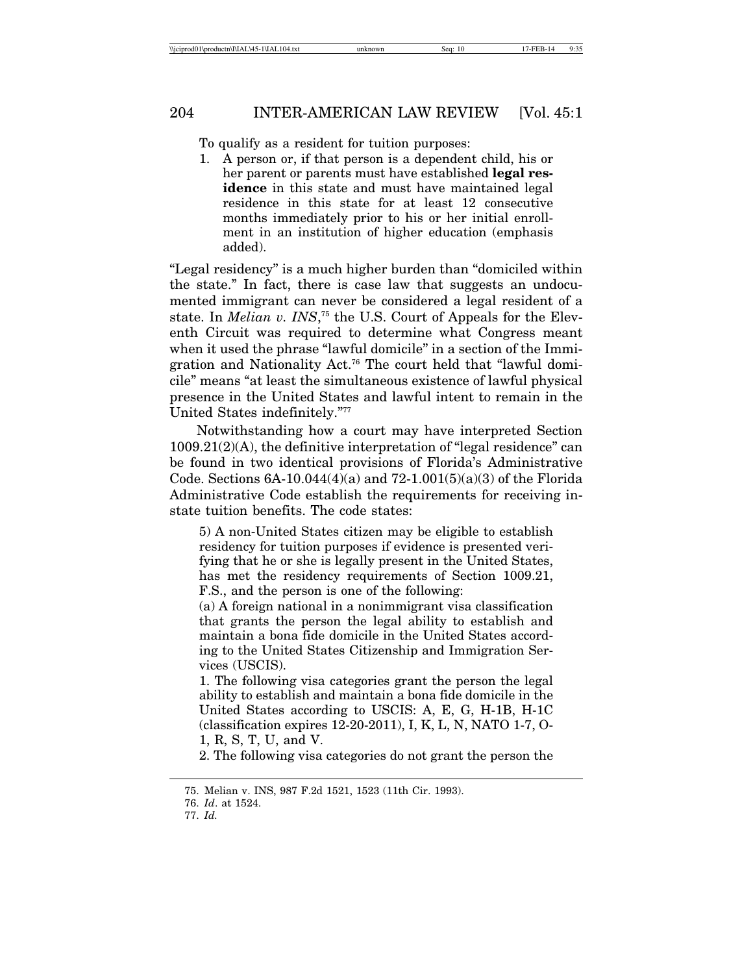To qualify as a resident for tuition purposes:

1. A person or, if that person is a dependent child, his or her parent or parents must have established **legal residence** in this state and must have maintained legal residence in this state for at least 12 consecutive months immediately prior to his or her initial enrollment in an institution of higher education (emphasis added).

"Legal residency" is a much higher burden than "domiciled within the state." In fact, there is case law that suggests an undocumented immigrant can never be considered a legal resident of a state. In *Melian v. INS*, 75 the U.S. Court of Appeals for the Eleventh Circuit was required to determine what Congress meant when it used the phrase "lawful domicile" in a section of the Immigration and Nationality Act.76 The court held that "lawful domicile" means "at least the simultaneous existence of lawful physical presence in the United States and lawful intent to remain in the United States indefinitely."77

Notwithstanding how a court may have interpreted Section  $1009.21(2)(A)$ , the definitive interpretation of "legal residence" can be found in two identical provisions of Florida's Administrative Code. Sections  $6A-10.044(4)(a)$  and  $72-1.001(5)(a)(3)$  of the Florida Administrative Code establish the requirements for receiving instate tuition benefits. The code states:

5) A non-United States citizen may be eligible to establish residency for tuition purposes if evidence is presented verifying that he or she is legally present in the United States, has met the residency requirements of Section 1009.21, F.S., and the person is one of the following:

(a) A foreign national in a nonimmigrant visa classification that grants the person the legal ability to establish and maintain a bona fide domicile in the United States according to the United States Citizenship and Immigration Services (USCIS).

1. The following visa categories grant the person the legal ability to establish and maintain a bona fide domicile in the United States according to USCIS: A, E, G, H-1B, H-1C (classification expires 12-20-2011), I, K, L, N, NATO 1-7, O-1, R, S, T, U, and V.

2. The following visa categories do not grant the person the

<sup>75.</sup> Melian v. INS, 987 F.2d 1521, 1523 (11th Cir. 1993).

<sup>76.</sup> *Id*. at 1524.

<sup>77.</sup> *Id.*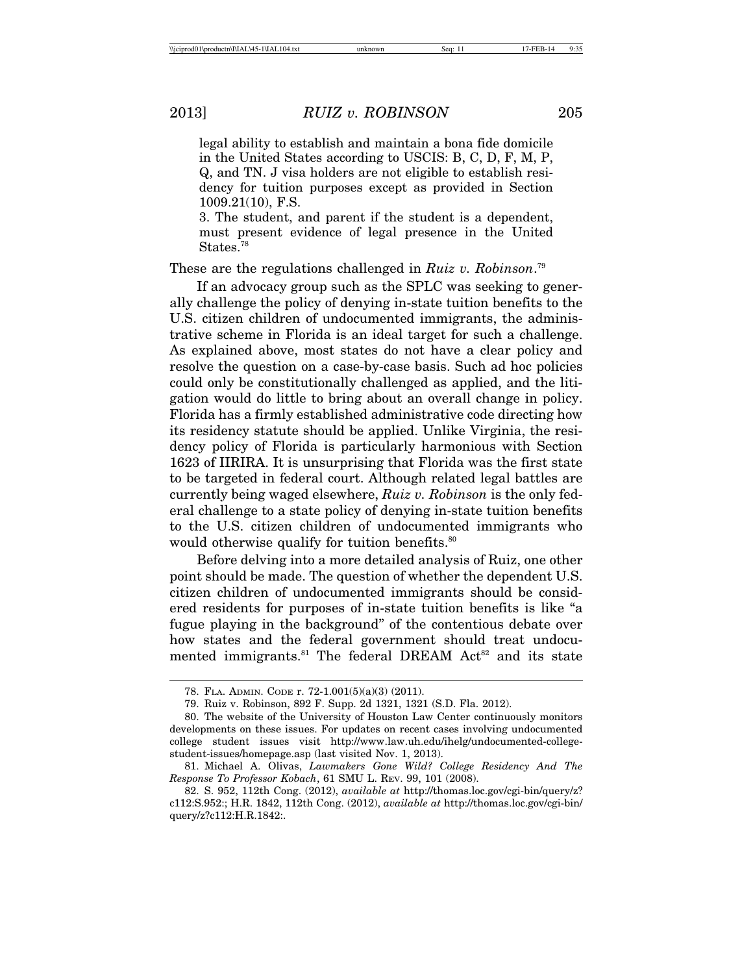legal ability to establish and maintain a bona fide domicile in the United States according to USCIS: B, C, D, F, M, P, Q, and TN. J visa holders are not eligible to establish residency for tuition purposes except as provided in Section 1009.21(10), F.S.

3. The student, and parent if the student is a dependent, must present evidence of legal presence in the United States.<sup>78</sup>

These are the regulations challenged in *Ruiz v. Robinson*. 79

If an advocacy group such as the SPLC was seeking to generally challenge the policy of denying in-state tuition benefits to the U.S. citizen children of undocumented immigrants, the administrative scheme in Florida is an ideal target for such a challenge. As explained above, most states do not have a clear policy and resolve the question on a case-by-case basis. Such ad hoc policies could only be constitutionally challenged as applied, and the litigation would do little to bring about an overall change in policy. Florida has a firmly established administrative code directing how its residency statute should be applied. Unlike Virginia, the residency policy of Florida is particularly harmonious with Section 1623 of IIRIRA. It is unsurprising that Florida was the first state to be targeted in federal court. Although related legal battles are currently being waged elsewhere, *Ruiz v. Robinson* is the only federal challenge to a state policy of denying in-state tuition benefits to the U.S. citizen children of undocumented immigrants who would otherwise qualify for tuition benefits.<sup>80</sup>

Before delving into a more detailed analysis of Ruiz, one other point should be made. The question of whether the dependent U.S. citizen children of undocumented immigrants should be considered residents for purposes of in-state tuition benefits is like "a fugue playing in the background" of the contentious debate over how states and the federal government should treat undocumented immigrants.<sup>81</sup> The federal DREAM Act<sup>82</sup> and its state

<sup>78.</sup> FLA. ADMIN. CODE r. 72-1.001(5)(a)(3) (2011).

<sup>79.</sup> Ruiz v. Robinson, 892 F. Supp. 2d 1321, 1321 (S.D. Fla. 2012).

<sup>80.</sup> The website of the University of Houston Law Center continuously monitors developments on these issues. For updates on recent cases involving undocumented college student issues visit http://www.law.uh.edu/ihelg/undocumented-collegestudent-issues/homepage.asp (last visited Nov. 1, 2013).

<sup>81.</sup> Michael A. Olivas, *Lawmakers Gone Wild? College Residency And The Response To Professor Kobach*, 61 SMU L. REV. 99, 101 (2008).

<sup>82.</sup> S. 952, 112th Cong. (2012), *available at* http://thomas.loc.gov/cgi-bin/query/z? c112:S.952:; H.R. 1842, 112th Cong. (2012), *available at* http://thomas.loc.gov/cgi-bin/ query/z?c112:H.R.1842:.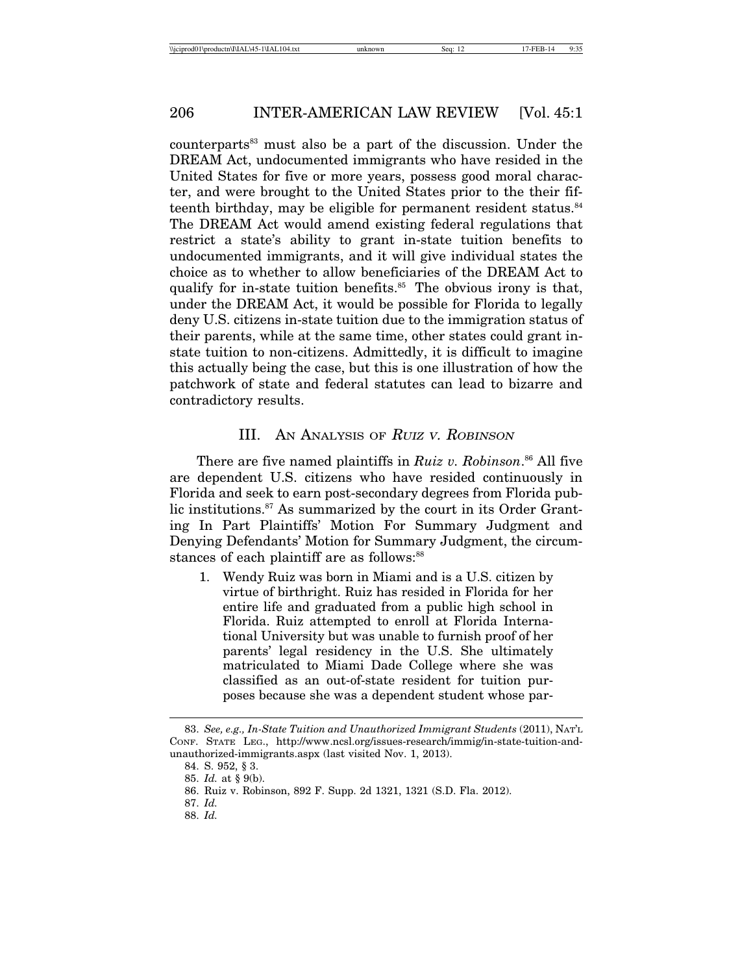counterparts<sup>83</sup> must also be a part of the discussion. Under the DREAM Act, undocumented immigrants who have resided in the United States for five or more years, possess good moral character, and were brought to the United States prior to the their fifteenth birthday, may be eligible for permanent resident status. $84$ The DREAM Act would amend existing federal regulations that restrict a state's ability to grant in-state tuition benefits to undocumented immigrants, and it will give individual states the choice as to whether to allow beneficiaries of the DREAM Act to qualify for in-state tuition benefits. $85$  The obvious irony is that, under the DREAM Act, it would be possible for Florida to legally deny U.S. citizens in-state tuition due to the immigration status of their parents, while at the same time, other states could grant instate tuition to non-citizens. Admittedly, it is difficult to imagine this actually being the case, but this is one illustration of how the patchwork of state and federal statutes can lead to bizarre and contradictory results.

# III. AN ANALYSIS OF RUIZ <sup>V</sup>. ROBINSON

There are five named plaintiffs in *Ruiz v. Robinson*. 86 All five are dependent U.S. citizens who have resided continuously in Florida and seek to earn post-secondary degrees from Florida public institutions.<sup>87</sup> As summarized by the court in its Order Granting In Part Plaintiffs' Motion For Summary Judgment and Denying Defendants' Motion for Summary Judgment, the circumstances of each plaintiff are as follows:<sup>88</sup>

1. Wendy Ruiz was born in Miami and is a U.S. citizen by virtue of birthright. Ruiz has resided in Florida for her entire life and graduated from a public high school in Florida. Ruiz attempted to enroll at Florida International University but was unable to furnish proof of her parents' legal residency in the U.S. She ultimately matriculated to Miami Dade College where she was classified as an out-of-state resident for tuition purposes because she was a dependent student whose par-

<sup>83.</sup> *See, e.g., In-State Tuition and Unauthorized Immigrant Students* (2011), NAT'L CONF. STATE LEG., http://www.ncsl.org/issues-research/immig/in-state-tuition-andunauthorized-immigrants.aspx (last visited Nov. 1, 2013).

<sup>84.</sup> S. 952, § 3.

<sup>85.</sup> *Id.* at § 9(b).

<sup>86.</sup> Ruiz v. Robinson, 892 F. Supp. 2d 1321, 1321 (S.D. Fla. 2012).

<sup>87.</sup> *Id.*

<sup>88.</sup> *Id.*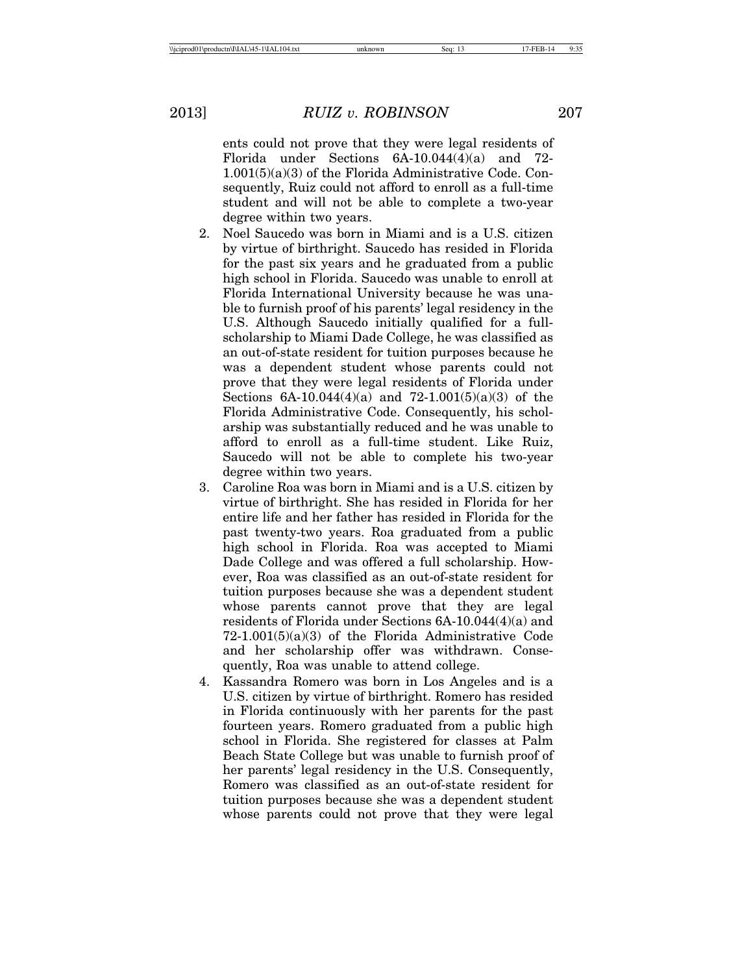ents could not prove that they were legal residents of Florida under Sections 6A-10.044(4)(a) and 72- 1.001(5)(a)(3) of the Florida Administrative Code. Consequently, Ruiz could not afford to enroll as a full-time student and will not be able to complete a two-year degree within two years.

- 2. Noel Saucedo was born in Miami and is a U.S. citizen by virtue of birthright. Saucedo has resided in Florida for the past six years and he graduated from a public high school in Florida. Saucedo was unable to enroll at Florida International University because he was unable to furnish proof of his parents' legal residency in the U.S. Although Saucedo initially qualified for a fullscholarship to Miami Dade College, he was classified as an out-of-state resident for tuition purposes because he was a dependent student whose parents could not prove that they were legal residents of Florida under Sections  $6A-10.044(4)(a)$  and  $72-1.001(5)(a)(3)$  of the Florida Administrative Code. Consequently, his scholarship was substantially reduced and he was unable to afford to enroll as a full-time student. Like Ruiz, Saucedo will not be able to complete his two-year degree within two years.
- 3. Caroline Roa was born in Miami and is a U.S. citizen by virtue of birthright. She has resided in Florida for her entire life and her father has resided in Florida for the past twenty-two years. Roa graduated from a public high school in Florida. Roa was accepted to Miami Dade College and was offered a full scholarship. However, Roa was classified as an out-of-state resident for tuition purposes because she was a dependent student whose parents cannot prove that they are legal residents of Florida under Sections 6A-10.044(4)(a) and 72-1.001(5)(a)(3) of the Florida Administrative Code and her scholarship offer was withdrawn. Consequently, Roa was unable to attend college.
- 4. Kassandra Romero was born in Los Angeles and is a U.S. citizen by virtue of birthright. Romero has resided in Florida continuously with her parents for the past fourteen years. Romero graduated from a public high school in Florida. She registered for classes at Palm Beach State College but was unable to furnish proof of her parents' legal residency in the U.S. Consequently, Romero was classified as an out-of-state resident for tuition purposes because she was a dependent student whose parents could not prove that they were legal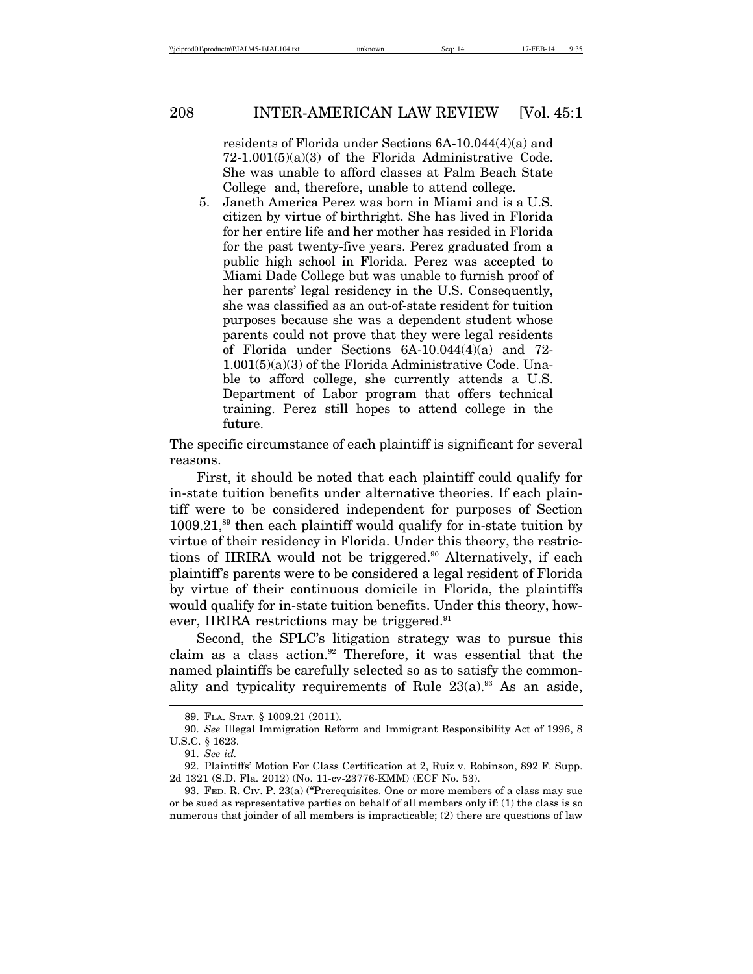residents of Florida under Sections 6A-10.044(4)(a) and 72-1.001(5)(a)(3) of the Florida Administrative Code. She was unable to afford classes at Palm Beach State College and, therefore, unable to attend college.

5. Janeth America Perez was born in Miami and is a U.S. citizen by virtue of birthright. She has lived in Florida for her entire life and her mother has resided in Florida for the past twenty-five years. Perez graduated from a public high school in Florida. Perez was accepted to Miami Dade College but was unable to furnish proof of her parents' legal residency in the U.S. Consequently, she was classified as an out-of-state resident for tuition purposes because she was a dependent student whose parents could not prove that they were legal residents of Florida under Sections 6A-10.044(4)(a) and 72- 1.001(5)(a)(3) of the Florida Administrative Code. Unable to afford college, she currently attends a U.S. Department of Labor program that offers technical training. Perez still hopes to attend college in the future.

The specific circumstance of each plaintiff is significant for several reasons.

First, it should be noted that each plaintiff could qualify for in-state tuition benefits under alternative theories. If each plaintiff were to be considered independent for purposes of Section  $1009.21$ ,<sup>89</sup> then each plaintiff would qualify for in-state tuition by virtue of their residency in Florida. Under this theory, the restrictions of IIRIRA would not be triggered.<sup>90</sup> Alternatively, if each plaintiff's parents were to be considered a legal resident of Florida by virtue of their continuous domicile in Florida, the plaintiffs would qualify for in-state tuition benefits. Under this theory, however, IIRIRA restrictions may be triggered.<sup>91</sup>

Second, the SPLC's litigation strategy was to pursue this claim as a class action.<sup>92</sup> Therefore, it was essential that the named plaintiffs be carefully selected so as to satisfy the commonality and typicality requirements of Rule  $23(a)$ .<sup>93</sup> As an aside,

<sup>89.</sup> FLA. STAT. § 1009.21 (2011).

<sup>90.</sup> *See* Illegal Immigration Reform and Immigrant Responsibility Act of 1996, 8 U.S.C. § 1623.

<sup>91.</sup> *See id.*

<sup>92.</sup> Plaintiffs' Motion For Class Certification at 2, Ruiz v. Robinson, 892 F. Supp. 2d 1321 (S.D. Fla. 2012) (No. 11-cv-23776-KMM) (ECF No. 53).

<sup>93.</sup> FED. R. CIV. P. 23(a) ("Prerequisites. One or more members of a class may sue or be sued as representative parties on behalf of all members only if: (1) the class is so numerous that joinder of all members is impracticable; (2) there are questions of law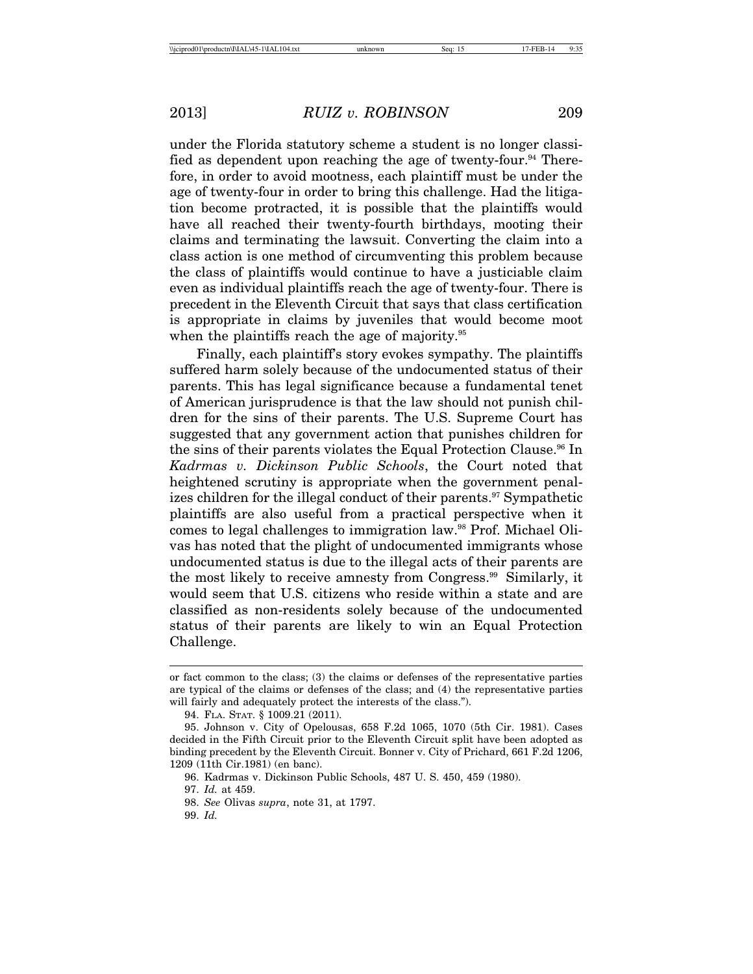under the Florida statutory scheme a student is no longer classified as dependent upon reaching the age of twenty-four.<sup>94</sup> Therefore, in order to avoid mootness, each plaintiff must be under the age of twenty-four in order to bring this challenge. Had the litigation become protracted, it is possible that the plaintiffs would have all reached their twenty-fourth birthdays, mooting their claims and terminating the lawsuit. Converting the claim into a class action is one method of circumventing this problem because the class of plaintiffs would continue to have a justiciable claim even as individual plaintiffs reach the age of twenty-four. There is precedent in the Eleventh Circuit that says that class certification is appropriate in claims by juveniles that would become moot when the plaintiffs reach the age of majority.<sup>95</sup>

Finally, each plaintiff's story evokes sympathy. The plaintiffs suffered harm solely because of the undocumented status of their parents. This has legal significance because a fundamental tenet of American jurisprudence is that the law should not punish children for the sins of their parents. The U.S. Supreme Court has suggested that any government action that punishes children for the sins of their parents violates the Equal Protection Clause.<sup>96</sup> In *Kadrmas v. Dickinson Public Schools*, the Court noted that heightened scrutiny is appropriate when the government penalizes children for the illegal conduct of their parents.<sup>97</sup> Sympathetic plaintiffs are also useful from a practical perspective when it comes to legal challenges to immigration law.98 Prof. Michael Olivas has noted that the plight of undocumented immigrants whose undocumented status is due to the illegal acts of their parents are the most likely to receive amnesty from Congress.99 Similarly, it would seem that U.S. citizens who reside within a state and are classified as non-residents solely because of the undocumented status of their parents are likely to win an Equal Protection Challenge.

97. *Id.* at 459.

or fact common to the class; (3) the claims or defenses of the representative parties are typical of the claims or defenses of the class; and (4) the representative parties will fairly and adequately protect the interests of the class.").

<sup>94.</sup> FLA. STAT. § 1009.21 (2011).

<sup>95.</sup> Johnson v. City of Opelousas, 658 F.2d 1065, 1070 (5th Cir. 1981). Cases decided in the Fifth Circuit prior to the Eleventh Circuit split have been adopted as binding precedent by the Eleventh Circuit. Bonner v. City of Prichard, 661 F.2d 1206, 1209 (11th Cir.1981) (en banc).

<sup>96.</sup> Kadrmas v. Dickinson Public Schools, 487 U. S. 450, 459 (1980).

<sup>98.</sup> *See* Olivas *supra*, note 31, at 1797.

<sup>99.</sup> *Id.*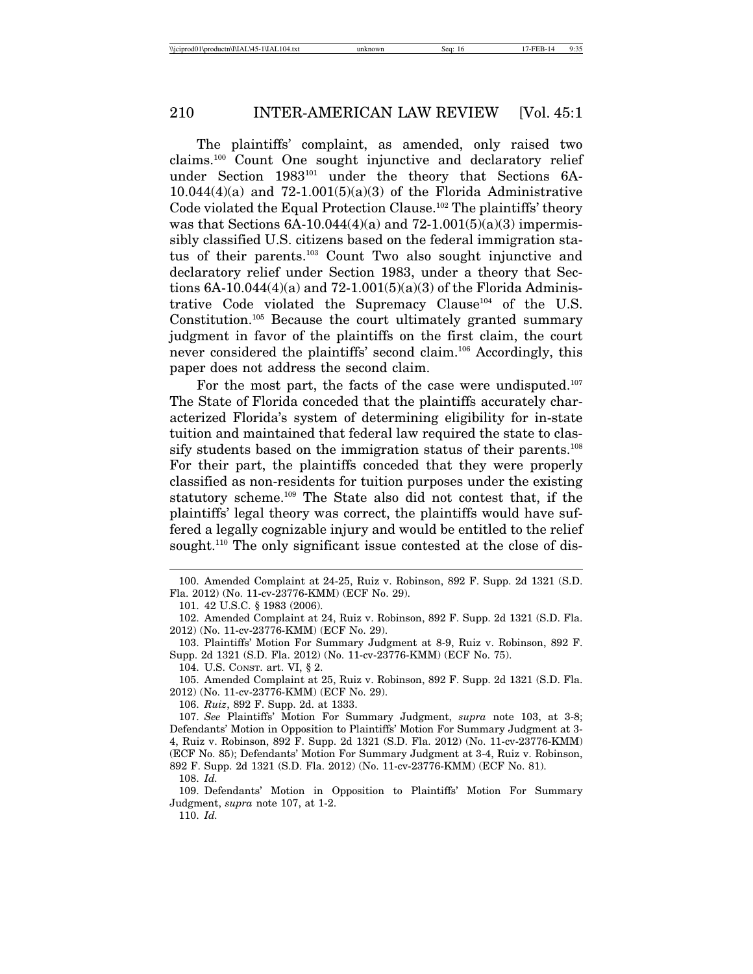The plaintiffs' complaint, as amended, only raised two claims.100 Count One sought injunctive and declaratory relief under Section 1983101 under the theory that Sections 6A- $10.044(4)(a)$  and  $72-1.001(5)(a)(3)$  of the Florida Administrative Code violated the Equal Protection Clause.<sup>102</sup> The plaintiffs' theory was that Sections  $6A-10.044(4)(a)$  and  $72-1.001(5)(a)(3)$  impermissibly classified U.S. citizens based on the federal immigration status of their parents.103 Count Two also sought injunctive and declaratory relief under Section 1983, under a theory that Sections  $6A-10.044(4)(a)$  and  $72-1.001(5)(a)(3)$  of the Florida Administrative Code violated the Supremacy Clause104 of the U.S. Constitution.105 Because the court ultimately granted summary judgment in favor of the plaintiffs on the first claim, the court never considered the plaintiffs' second claim.106 Accordingly, this paper does not address the second claim.

For the most part, the facts of the case were undisputed.<sup>107</sup> The State of Florida conceded that the plaintiffs accurately characterized Florida's system of determining eligibility for in-state tuition and maintained that federal law required the state to classify students based on the immigration status of their parents.<sup>108</sup> For their part, the plaintiffs conceded that they were properly classified as non-residents for tuition purposes under the existing statutory scheme.109 The State also did not contest that, if the plaintiffs' legal theory was correct, the plaintiffs would have suffered a legally cognizable injury and would be entitled to the relief sought.<sup>110</sup> The only significant issue contested at the close of dis-

106. *Ruiz*, 892 F. Supp. 2d. at 1333.

107. *See* Plaintiffs' Motion For Summary Judgment, *supra* note 103, at 3-8; Defendants' Motion in Opposition to Plaintiffs' Motion For Summary Judgment at 3- 4, Ruiz v. Robinson, 892 F. Supp. 2d 1321 (S.D. Fla. 2012) (No. 11-cv-23776-KMM) (ECF No. 85); Defendants' Motion For Summary Judgment at 3-4, Ruiz v. Robinson, 892 F. Supp. 2d 1321 (S.D. Fla. 2012) (No. 11-cv-23776-KMM) (ECF No. 81).

108. *Id.*

109. Defendants' Motion in Opposition to Plaintiffs' Motion For Summary Judgment, *supra* note 107, at 1-2.

110. *Id.*

<sup>100.</sup> Amended Complaint at 24-25, Ruiz v. Robinson, 892 F. Supp. 2d 1321 (S.D. Fla. 2012) (No. 11-cv-23776-KMM) (ECF No. 29).

<sup>101. 42</sup> U.S.C. § 1983 (2006).

<sup>102.</sup> Amended Complaint at 24, Ruiz v. Robinson, 892 F. Supp. 2d 1321 (S.D. Fla. 2012) (No. 11-cv-23776-KMM) (ECF No. 29).

<sup>103.</sup> Plaintiffs' Motion For Summary Judgment at 8-9, Ruiz v. Robinson, 892 F. Supp. 2d 1321 (S.D. Fla. 2012) (No. 11-cv-23776-KMM) (ECF No. 75).

<sup>104.</sup> U.S. CONST. art. VI, § 2.

<sup>105.</sup> Amended Complaint at 25, Ruiz v. Robinson, 892 F. Supp. 2d 1321 (S.D. Fla. 2012) (No. 11-cv-23776-KMM) (ECF No. 29).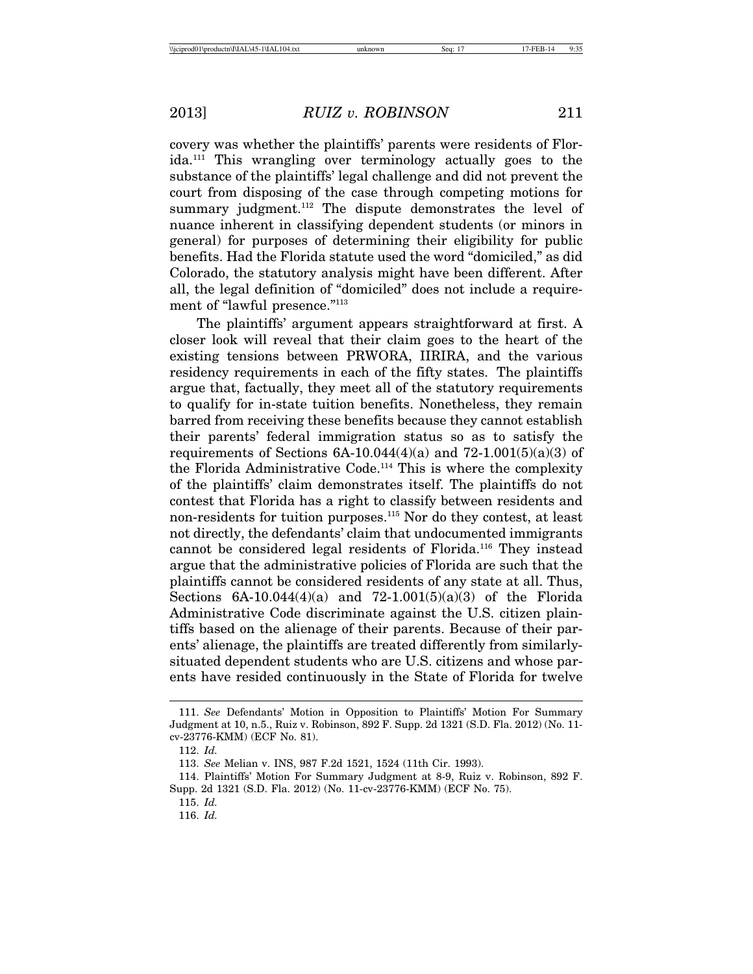covery was whether the plaintiffs' parents were residents of Florida.111 This wrangling over terminology actually goes to the substance of the plaintiffs' legal challenge and did not prevent the court from disposing of the case through competing motions for summary judgment.<sup>112</sup> The dispute demonstrates the level of nuance inherent in classifying dependent students (or minors in general) for purposes of determining their eligibility for public benefits. Had the Florida statute used the word "domiciled," as did Colorado, the statutory analysis might have been different. After all, the legal definition of "domiciled" does not include a requirement of "lawful presence."<sup>113</sup>

The plaintiffs' argument appears straightforward at first. A closer look will reveal that their claim goes to the heart of the existing tensions between PRWORA, IIRIRA, and the various residency requirements in each of the fifty states. The plaintiffs argue that, factually, they meet all of the statutory requirements to qualify for in-state tuition benefits. Nonetheless, they remain barred from receiving these benefits because they cannot establish their parents' federal immigration status so as to satisfy the requirements of Sections  $6A-10.044(4)(a)$  and  $72-1.001(5)(a)(3)$  of the Florida Administrative Code.114 This is where the complexity of the plaintiffs' claim demonstrates itself. The plaintiffs do not contest that Florida has a right to classify between residents and non-residents for tuition purposes.<sup>115</sup> Nor do they contest, at least not directly, the defendants' claim that undocumented immigrants cannot be considered legal residents of Florida.116 They instead argue that the administrative policies of Florida are such that the plaintiffs cannot be considered residents of any state at all. Thus, Sections  $6A-10.044(4)(a)$  and  $72-1.001(5)(a)(3)$  of the Florida Administrative Code discriminate against the U.S. citizen plaintiffs based on the alienage of their parents. Because of their parents' alienage, the plaintiffs are treated differently from similarlysituated dependent students who are U.S. citizens and whose parents have resided continuously in the State of Florida for twelve

<sup>111.</sup> *See* Defendants' Motion in Opposition to Plaintiffs' Motion For Summary Judgment at 10, n.5., Ruiz v. Robinson, 892 F. Supp. 2d 1321 (S.D. Fla. 2012) (No. 11 cv-23776-KMM) (ECF No. 81).

<sup>112.</sup> *Id.*

<sup>113.</sup> *See* Melian v. INS, 987 F.2d 1521, 1524 (11th Cir. 1993).

<sup>114.</sup> Plaintiffs' Motion For Summary Judgment at 8-9, Ruiz v. Robinson, 892 F. Supp. 2d 1321 (S.D. Fla. 2012) (No. 11-cv-23776-KMM) (ECF No. 75).

<sup>115.</sup> *Id.*

<sup>116.</sup> *Id.*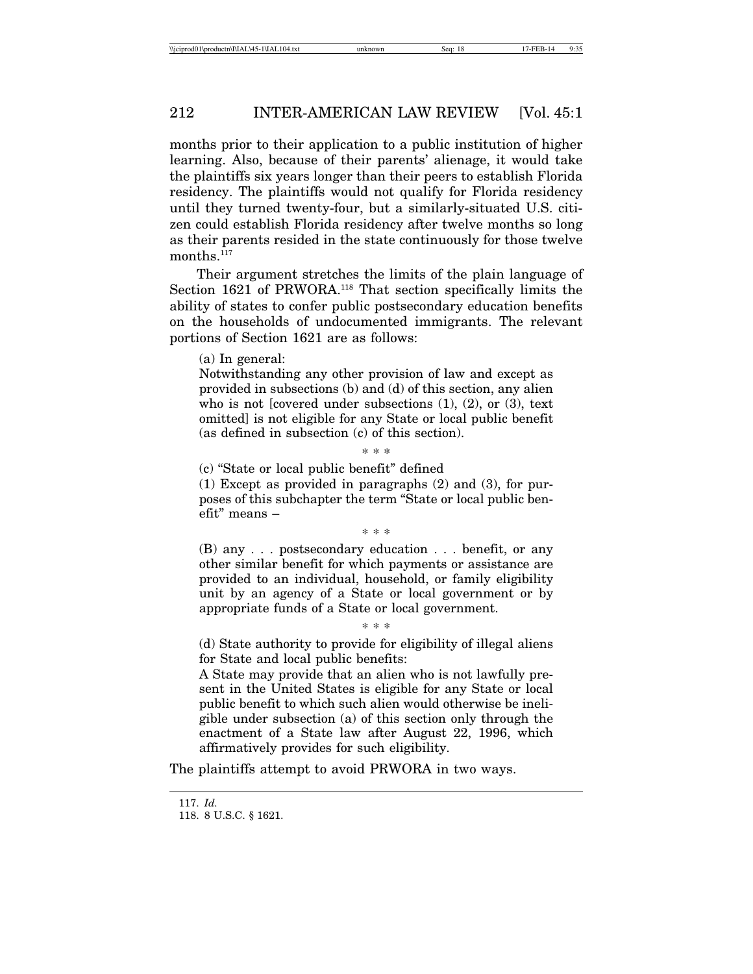months prior to their application to a public institution of higher learning. Also, because of their parents' alienage, it would take the plaintiffs six years longer than their peers to establish Florida residency. The plaintiffs would not qualify for Florida residency until they turned twenty-four, but a similarly-situated U.S. citizen could establish Florida residency after twelve months so long as their parents resided in the state continuously for those twelve  $\,$  months.  $\,117}$ 

Their argument stretches the limits of the plain language of Section 1621 of PRWORA.<sup>118</sup> That section specifically limits the ability of states to confer public postsecondary education benefits on the households of undocumented immigrants. The relevant portions of Section 1621 are as follows:

(a) In general:

Notwithstanding any other provision of law and except as provided in subsections (b) and (d) of this section, any alien who is not [covered under subsections  $(1)$ ,  $(2)$ , or  $(3)$ , text omitted] is not eligible for any State or local public benefit (as defined in subsection (c) of this section).

\* \* \*

(c) "State or local public benefit" defined

(1) Except as provided in paragraphs (2) and (3), for purposes of this subchapter the term "State or local public benefit" means –

\* \* \*

(B) any . . . postsecondary education . . . benefit, or any other similar benefit for which payments or assistance are provided to an individual, household, or family eligibility unit by an agency of a State or local government or by appropriate funds of a State or local government.

\* \* \*

(d) State authority to provide for eligibility of illegal aliens for State and local public benefits:

A State may provide that an alien who is not lawfully present in the United States is eligible for any State or local public benefit to which such alien would otherwise be ineligible under subsection (a) of this section only through the enactment of a State law after August 22, 1996, which affirmatively provides for such eligibility.

The plaintiffs attempt to avoid PRWORA in two ways.

<sup>117.</sup> *Id.*

<sup>118. 8</sup> U.S.C. § 1621.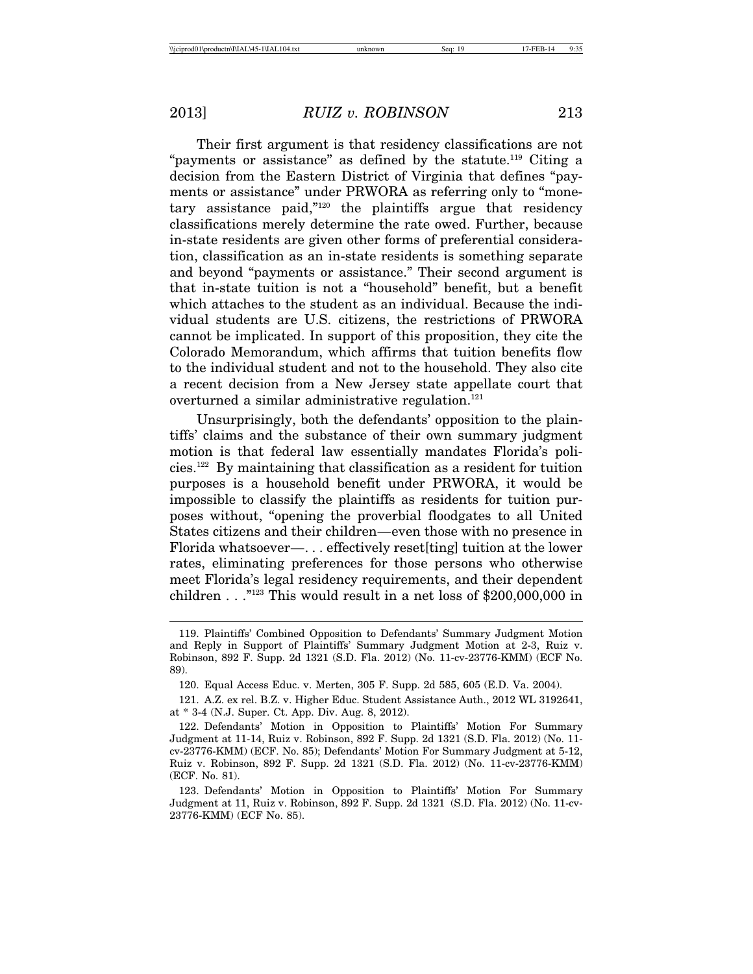Their first argument is that residency classifications are not "payments or assistance" as defined by the statute.<sup>119</sup> Citing a decision from the Eastern District of Virginia that defines "payments or assistance" under PRWORA as referring only to "monetary assistance paid,"120 the plaintiffs argue that residency classifications merely determine the rate owed. Further, because in-state residents are given other forms of preferential consideration, classification as an in-state residents is something separate and beyond "payments or assistance." Their second argument is that in-state tuition is not a "household" benefit, but a benefit which attaches to the student as an individual. Because the individual students are U.S. citizens, the restrictions of PRWORA cannot be implicated. In support of this proposition, they cite the Colorado Memorandum, which affirms that tuition benefits flow to the individual student and not to the household. They also cite a recent decision from a New Jersey state appellate court that overturned a similar administrative regulation.<sup>121</sup>

Unsurprisingly, both the defendants' opposition to the plaintiffs' claims and the substance of their own summary judgment motion is that federal law essentially mandates Florida's policies.122 By maintaining that classification as a resident for tuition purposes is a household benefit under PRWORA, it would be impossible to classify the plaintiffs as residents for tuition purposes without, "opening the proverbial floodgates to all United States citizens and their children—even those with no presence in Florida whatsoever—. . . effectively reset[ting] tuition at the lower rates, eliminating preferences for those persons who otherwise meet Florida's legal residency requirements, and their dependent children . . ."123 This would result in a net loss of \$200,000,000 in

<sup>119.</sup> Plaintiffs' Combined Opposition to Defendants' Summary Judgment Motion and Reply in Support of Plaintiffs' Summary Judgment Motion at 2-3, Ruiz v. Robinson, 892 F. Supp. 2d 1321 (S.D. Fla. 2012) (No. 11-cv-23776-KMM) (ECF No. 89).

<sup>120.</sup> Equal Access Educ. v. Merten, 305 F. Supp. 2d 585, 605 (E.D. Va. 2004).

<sup>121.</sup> A.Z. ex rel. B.Z. v. Higher Educ. Student Assistance Auth., 2012 WL 3192641, at \* 3-4 (N.J. Super. Ct. App. Div. Aug. 8, 2012).

<sup>122.</sup> Defendants' Motion in Opposition to Plaintiffs' Motion For Summary Judgment at 11-14, Ruiz v. Robinson, 892 F. Supp. 2d 1321 (S.D. Fla. 2012) (No. 11 cv-23776-KMM) (ECF. No. 85); Defendants' Motion For Summary Judgment at 5-12, Ruiz v. Robinson, 892 F. Supp. 2d 1321 (S.D. Fla. 2012) (No. 11-cv-23776-KMM) (ECF. No. 81).

<sup>123.</sup> Defendants' Motion in Opposition to Plaintiffs' Motion For Summary Judgment at 11, Ruiz v. Robinson, 892 F. Supp. 2d 1321 (S.D. Fla. 2012) (No. 11-cv-23776-KMM) (ECF No. 85).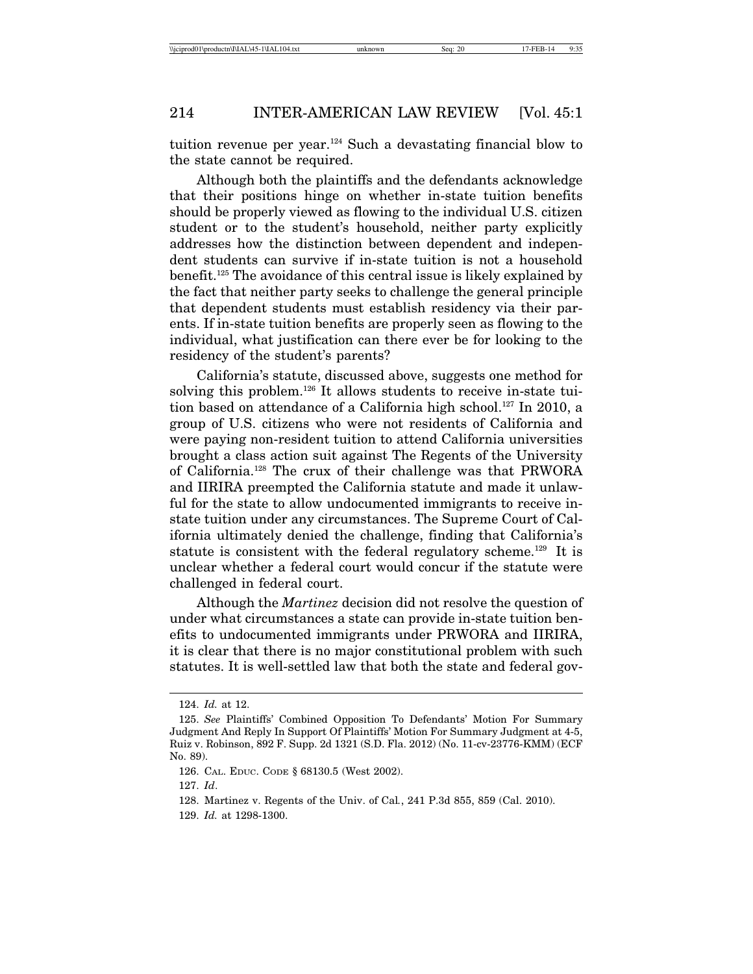tuition revenue per year.124 Such a devastating financial blow to the state cannot be required.

Although both the plaintiffs and the defendants acknowledge that their positions hinge on whether in-state tuition benefits should be properly viewed as flowing to the individual U.S. citizen student or to the student's household, neither party explicitly addresses how the distinction between dependent and independent students can survive if in-state tuition is not a household benefit.125 The avoidance of this central issue is likely explained by the fact that neither party seeks to challenge the general principle that dependent students must establish residency via their parents. If in-state tuition benefits are properly seen as flowing to the individual, what justification can there ever be for looking to the residency of the student's parents?

California's statute, discussed above, suggests one method for solving this problem.<sup>126</sup> It allows students to receive in-state tuition based on attendance of a California high school.<sup>127</sup> In 2010, a group of U.S. citizens who were not residents of California and were paying non-resident tuition to attend California universities brought a class action suit against The Regents of the University of California.128 The crux of their challenge was that PRWORA and IIRIRA preempted the California statute and made it unlawful for the state to allow undocumented immigrants to receive instate tuition under any circumstances. The Supreme Court of California ultimately denied the challenge, finding that California's statute is consistent with the federal regulatory scheme.129 It is unclear whether a federal court would concur if the statute were challenged in federal court.

Although the *Martinez* decision did not resolve the question of under what circumstances a state can provide in-state tuition benefits to undocumented immigrants under PRWORA and IIRIRA, it is clear that there is no major constitutional problem with such statutes. It is well-settled law that both the state and federal gov-

129. *Id.* at 1298-1300.

<sup>124.</sup> *Id.* at 12.

<sup>125.</sup> *See* Plaintiffs' Combined Opposition To Defendants' Motion For Summary Judgment And Reply In Support Of Plaintiffs' Motion For Summary Judgment at 4-5, Ruiz v. Robinson, 892 F. Supp. 2d 1321 (S.D. Fla. 2012) (No. 11-cv-23776-KMM) (ECF No. 89).

<sup>126.</sup> CAL. EDUC. CODE § 68130.5 (West 2002).

<sup>127.</sup> *Id*.

<sup>128.</sup> Martinez v. Regents of the Univ. of Cal*.*, 241 P.3d 855, 859 (Cal. 2010).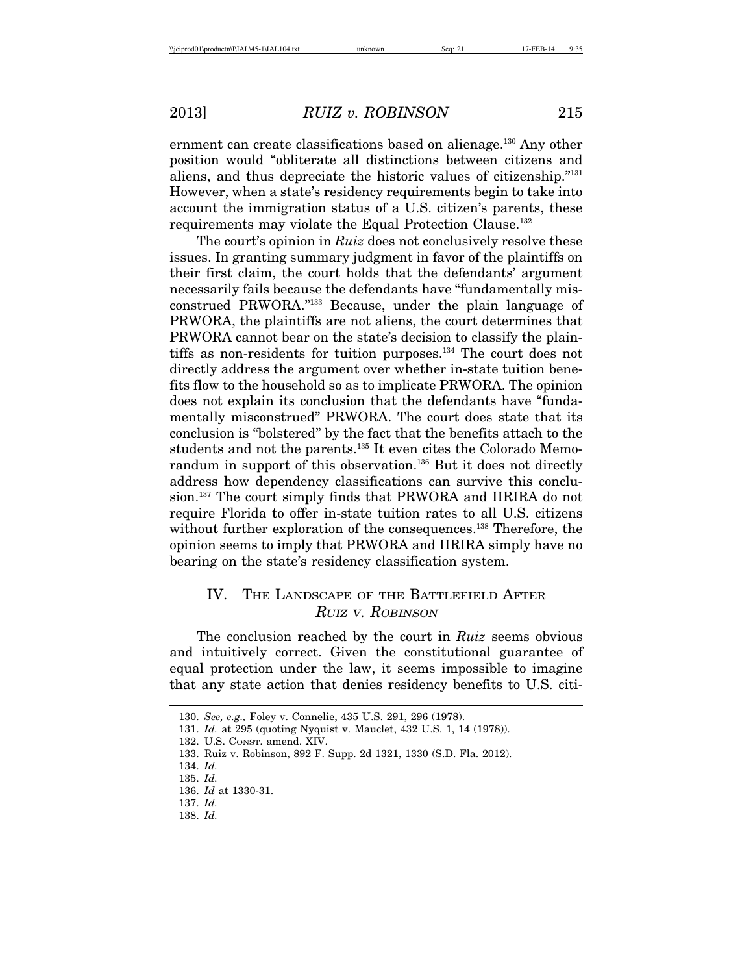ernment can create classifications based on alienage.<sup>130</sup> Any other position would "obliterate all distinctions between citizens and aliens, and thus depreciate the historic values of citizenship."131 However, when a state's residency requirements begin to take into account the immigration status of a U.S. citizen's parents, these requirements may violate the Equal Protection Clause.132

The court's opinion in *Ruiz* does not conclusively resolve these issues. In granting summary judgment in favor of the plaintiffs on their first claim, the court holds that the defendants' argument necessarily fails because the defendants have "fundamentally misconstrued PRWORA."133 Because, under the plain language of PRWORA, the plaintiffs are not aliens, the court determines that PRWORA cannot bear on the state's decision to classify the plaintiffs as non-residents for tuition purposes.134 The court does not directly address the argument over whether in-state tuition benefits flow to the household so as to implicate PRWORA. The opinion does not explain its conclusion that the defendants have "fundamentally misconstrued" PRWORA. The court does state that its conclusion is "bolstered" by the fact that the benefits attach to the students and not the parents.<sup>135</sup> It even cites the Colorado Memorandum in support of this observation.<sup>136</sup> But it does not directly address how dependency classifications can survive this conclusion.<sup>137</sup> The court simply finds that PRWORA and IIRIRA do not require Florida to offer in-state tuition rates to all U.S. citizens without further exploration of the consequences.<sup>138</sup> Therefore, the opinion seems to imply that PRWORA and IIRIRA simply have no bearing on the state's residency classification system.

# IV. THE LANDSCAPE OF THE BATTLEFIELD AFTER RUIZ <sup>V</sup>. ROBINSON

The conclusion reached by the court in *Ruiz* seems obvious and intuitively correct. Given the constitutional guarantee of equal protection under the law, it seems impossible to imagine that any state action that denies residency benefits to U.S. citi-

<sup>130.</sup> *See, e.g.,* Foley v. Connelie, 435 U.S. 291, 296 (1978).

<sup>131.</sup> *Id.* at 295 (quoting Nyquist v. Mauclet, 432 U.S. 1, 14 (1978)).

<sup>132.</sup> U.S. CONST. amend. XIV.

<sup>133.</sup> Ruiz v. Robinson, 892 F. Supp. 2d 1321, 1330 (S.D. Fla. 2012).

<sup>134.</sup> *Id.*

<sup>135.</sup> *Id.*

<sup>136.</sup> *Id* at 1330-31.

<sup>137.</sup> *Id.*

<sup>138.</sup> *Id.*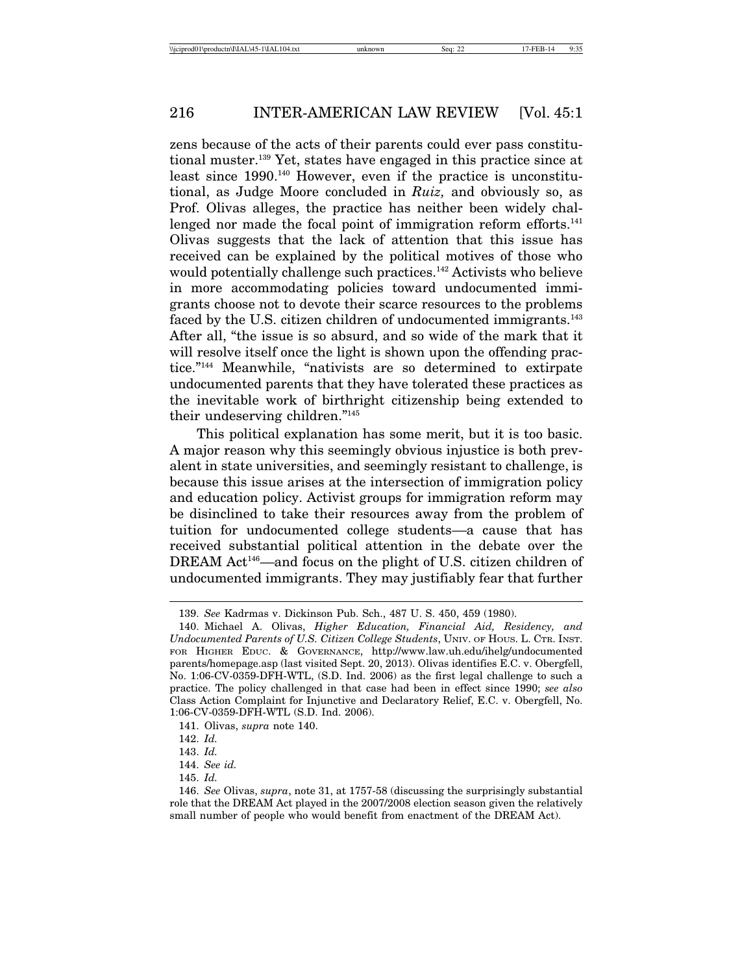zens because of the acts of their parents could ever pass constitutional muster.139 Yet, states have engaged in this practice since at least since 1990.<sup>140</sup> However, even if the practice is unconstitutional, as Judge Moore concluded in *Ruiz,* and obviously so, as Prof. Olivas alleges, the practice has neither been widely challenged nor made the focal point of immigration reform efforts.<sup>141</sup> Olivas suggests that the lack of attention that this issue has received can be explained by the political motives of those who would potentially challenge such practices.<sup>142</sup> Activists who believe in more accommodating policies toward undocumented immigrants choose not to devote their scarce resources to the problems faced by the U.S. citizen children of undocumented immigrants.<sup>143</sup> After all, "the issue is so absurd, and so wide of the mark that it will resolve itself once the light is shown upon the offending practice."144 Meanwhile, "nativists are so determined to extirpate undocumented parents that they have tolerated these practices as the inevitable work of birthright citizenship being extended to their undeserving children."145

This political explanation has some merit, but it is too basic. A major reason why this seemingly obvious injustice is both prevalent in state universities, and seemingly resistant to challenge, is because this issue arises at the intersection of immigration policy and education policy. Activist groups for immigration reform may be disinclined to take their resources away from the problem of tuition for undocumented college students––a cause that has received substantial political attention in the debate over the DREAM Act<sup>146</sup>—and focus on the plight of U.S. citizen children of undocumented immigrants. They may justifiably fear that further

<sup>139.</sup> *See* Kadrmas v. Dickinson Pub. Sch., 487 U. S. 450, 459 (1980).

<sup>140.</sup> Michael A. Olivas, *Higher Education, Financial Aid, Residency, and Undocumented Parents of U.S. Citizen College Students*, UNIV. OF HOUS. L. CTR. INST. FOR HIGHER EDUC. & GOVERNANCE, http://www.law.uh.edu/ihelg/undocumented parents/homepage.asp (last visited Sept. 20, 2013). Olivas identifies E.C. v. Obergfell, No. 1:06-CV-0359-DFH-WTL, (S.D. Ind. 2006) as the first legal challenge to such a practice. The policy challenged in that case had been in effect since 1990; *see also* Class Action Complaint for Injunctive and Declaratory Relief, E.C. v. Obergfell, No. 1:06-CV-0359-DFH-WTL (S.D. Ind. 2006).

<sup>141.</sup> Olivas, *supra* note 140.

<sup>142.</sup> *Id.*

<sup>143.</sup> *Id.*

<sup>144.</sup> *See id.*

<sup>145.</sup> *Id.*

<sup>146.</sup> *See* Olivas, *supra*, note 31, at 1757-58 (discussing the surprisingly substantial role that the DREAM Act played in the 2007/2008 election season given the relatively small number of people who would benefit from enactment of the DREAM Act).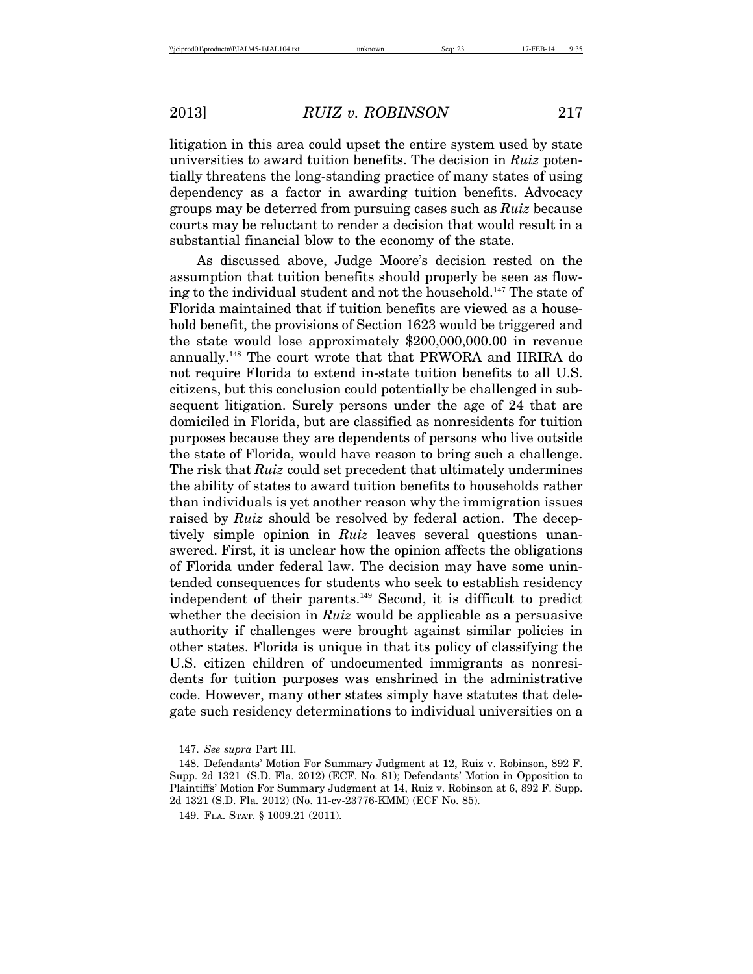litigation in this area could upset the entire system used by state universities to award tuition benefits. The decision in *Ruiz* potentially threatens the long-standing practice of many states of using dependency as a factor in awarding tuition benefits. Advocacy groups may be deterred from pursuing cases such as *Ruiz* because courts may be reluctant to render a decision that would result in a substantial financial blow to the economy of the state.

As discussed above, Judge Moore's decision rested on the assumption that tuition benefits should properly be seen as flowing to the individual student and not the household.<sup>147</sup> The state of Florida maintained that if tuition benefits are viewed as a household benefit, the provisions of Section 1623 would be triggered and the state would lose approximately \$200,000,000.00 in revenue annually.148 The court wrote that that PRWORA and IIRIRA do not require Florida to extend in-state tuition benefits to all U.S. citizens, but this conclusion could potentially be challenged in subsequent litigation. Surely persons under the age of 24 that are domiciled in Florida, but are classified as nonresidents for tuition purposes because they are dependents of persons who live outside the state of Florida, would have reason to bring such a challenge. The risk that *Ruiz* could set precedent that ultimately undermines the ability of states to award tuition benefits to households rather than individuals is yet another reason why the immigration issues raised by *Ruiz* should be resolved by federal action. The deceptively simple opinion in *Ruiz* leaves several questions unanswered. First, it is unclear how the opinion affects the obligations of Florida under federal law. The decision may have some unintended consequences for students who seek to establish residency independent of their parents.149 Second, it is difficult to predict whether the decision in *Ruiz* would be applicable as a persuasive authority if challenges were brought against similar policies in other states. Florida is unique in that its policy of classifying the U.S. citizen children of undocumented immigrants as nonresidents for tuition purposes was enshrined in the administrative code. However, many other states simply have statutes that delegate such residency determinations to individual universities on a

<sup>147.</sup> *See supra* Part III.

<sup>148.</sup> Defendants' Motion For Summary Judgment at 12, Ruiz v. Robinson, 892 F. Supp. 2d 1321 (S.D. Fla. 2012) (ECF. No. 81); Defendants' Motion in Opposition to Plaintiffs' Motion For Summary Judgment at 14, Ruiz v. Robinson at 6, 892 F. Supp. 2d 1321 (S.D. Fla. 2012) (No. 11-cv-23776-KMM) (ECF No. 85).

<sup>149.</sup> FLA. STAT. § 1009.21 (2011).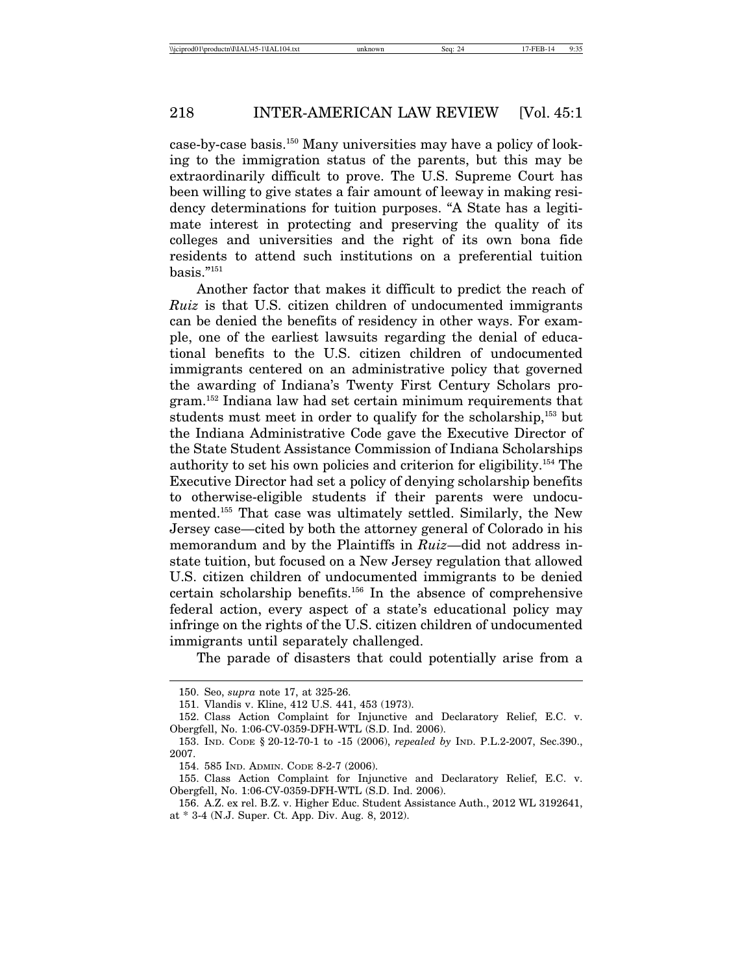case-by-case basis.150 Many universities may have a policy of looking to the immigration status of the parents, but this may be extraordinarily difficult to prove. The U.S. Supreme Court has been willing to give states a fair amount of leeway in making residency determinations for tuition purposes. "A State has a legitimate interest in protecting and preserving the quality of its colleges and universities and the right of its own bona fide residents to attend such institutions on a preferential tuition basis."151

Another factor that makes it difficult to predict the reach of *Ruiz* is that U.S. citizen children of undocumented immigrants can be denied the benefits of residency in other ways. For example, one of the earliest lawsuits regarding the denial of educational benefits to the U.S. citizen children of undocumented immigrants centered on an administrative policy that governed the awarding of Indiana's Twenty First Century Scholars program.152 Indiana law had set certain minimum requirements that students must meet in order to qualify for the scholarship,<sup>153</sup> but the Indiana Administrative Code gave the Executive Director of the State Student Assistance Commission of Indiana Scholarships authority to set his own policies and criterion for eligibility.154 The Executive Director had set a policy of denying scholarship benefits to otherwise-eligible students if their parents were undocumented.155 That case was ultimately settled. Similarly, the New Jersey case—cited by both the attorney general of Colorado in his memorandum and by the Plaintiffs in *Ruiz*—did not address instate tuition, but focused on a New Jersey regulation that allowed U.S. citizen children of undocumented immigrants to be denied certain scholarship benefits.156 In the absence of comprehensive federal action, every aspect of a state's educational policy may infringe on the rights of the U.S. citizen children of undocumented immigrants until separately challenged.

The parade of disasters that could potentially arise from a

<sup>150.</sup> Seo, *supra* note 17, at 325-26.

<sup>151.</sup> Vlandis v. Kline, 412 U.S. 441, 453 (1973).

<sup>152.</sup> Class Action Complaint for Injunctive and Declaratory Relief, E.C. v. Obergfell, No. 1:06-CV-0359-DFH-WTL (S.D. Ind. 2006).

<sup>153.</sup> IND. CODE § 20-12-70-1 to -15 (2006), *repealed by* IND. P.L.2-2007, Sec.390., 2007.

<sup>154. 585</sup> IND. ADMIN. CODE 8-2-7 (2006).

<sup>155.</sup> Class Action Complaint for Injunctive and Declaratory Relief, E.C. v. Obergfell, No. 1:06-CV-0359-DFH-WTL (S.D. Ind. 2006).

<sup>156.</sup> A.Z. ex rel. B.Z. v. Higher Educ. Student Assistance Auth., 2012 WL 3192641, at \* 3-4 (N.J. Super. Ct. App. Div. Aug. 8, 2012).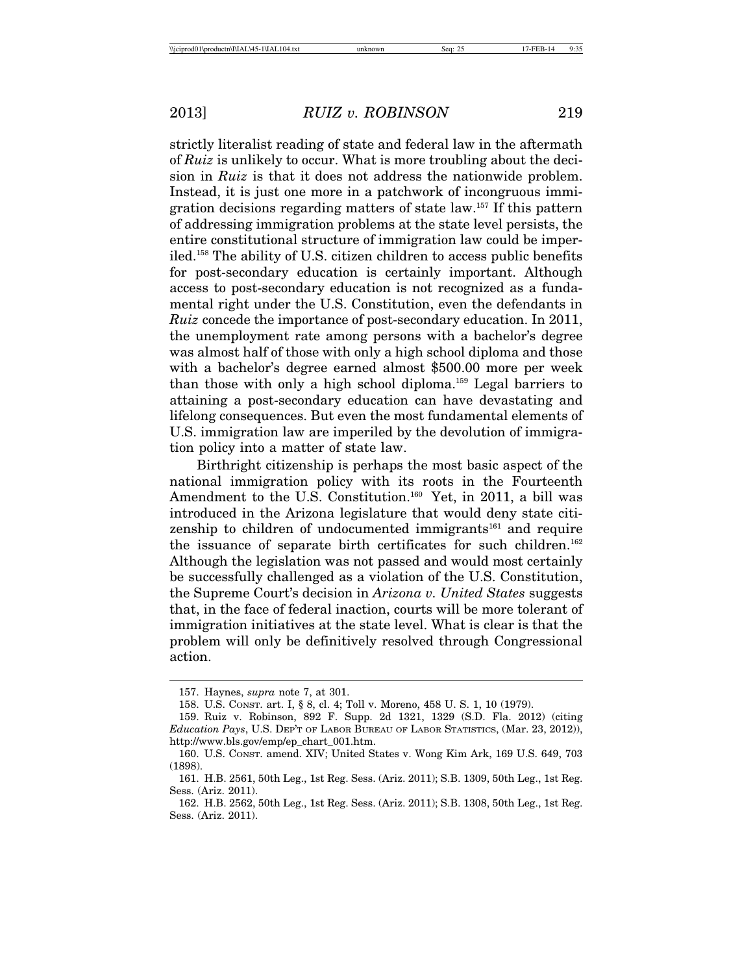strictly literalist reading of state and federal law in the aftermath of *Ruiz* is unlikely to occur. What is more troubling about the decision in *Ruiz* is that it does not address the nationwide problem. Instead, it is just one more in a patchwork of incongruous immigration decisions regarding matters of state law.157 If this pattern of addressing immigration problems at the state level persists, the entire constitutional structure of immigration law could be imperiled.158 The ability of U.S. citizen children to access public benefits for post-secondary education is certainly important. Although access to post-secondary education is not recognized as a fundamental right under the U.S. Constitution, even the defendants in *Ruiz* concede the importance of post-secondary education. In 2011, the unemployment rate among persons with a bachelor's degree was almost half of those with only a high school diploma and those with a bachelor's degree earned almost \$500.00 more per week than those with only a high school diploma.159 Legal barriers to attaining a post-secondary education can have devastating and lifelong consequences. But even the most fundamental elements of U.S. immigration law are imperiled by the devolution of immigration policy into a matter of state law.

Birthright citizenship is perhaps the most basic aspect of the national immigration policy with its roots in the Fourteenth Amendment to the U.S. Constitution.<sup>160</sup> Yet, in 2011, a bill was introduced in the Arizona legislature that would deny state citizenship to children of undocumented immigrants<sup>161</sup> and require the issuance of separate birth certificates for such children.<sup>162</sup> Although the legislation was not passed and would most certainly be successfully challenged as a violation of the U.S. Constitution, the Supreme Court's decision in *Arizona v. United States* suggests that, in the face of federal inaction, courts will be more tolerant of immigration initiatives at the state level. What is clear is that the problem will only be definitively resolved through Congressional action.

<sup>157.</sup> Haynes, *supra* note 7, at 301.

<sup>158.</sup> U.S. CONST. art. I, § 8, cl. 4; Toll v. Moreno, 458 U. S. 1, 10 (1979).

<sup>159.</sup> Ruiz v. Robinson, 892 F. Supp. 2d 1321, 1329 (S.D. Fla. 2012) (citing *Education Pays*, U.S. DEP'T OF LABOR BUREAU OF LABOR STATISTICS, (Mar. 23, 2012)), http://www.bls.gov/emp/ep\_chart\_001.htm.

<sup>160.</sup> U.S. CONST. amend. XIV; United States v. Wong Kim Ark, 169 U.S. 649, 703 (1898).

<sup>161.</sup> H.B. 2561, 50th Leg., 1st Reg. Sess. (Ariz. 2011); S.B. 1309, 50th Leg., 1st Reg. Sess. (Ariz. 2011).

<sup>162.</sup> H.B. 2562, 50th Leg., 1st Reg. Sess. (Ariz. 2011); S.B. 1308, 50th Leg., 1st Reg. Sess. (Ariz. 2011).